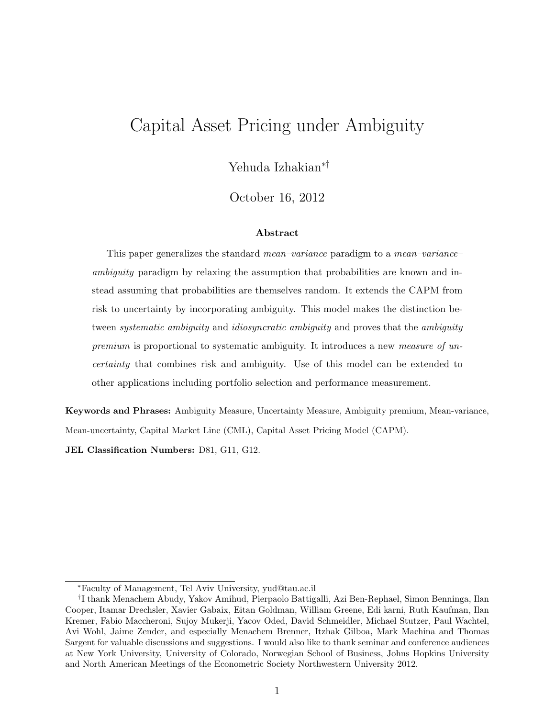## Capital Asset Pricing under Ambiguity

Yehuda Izhakian*∗†*

October 16, 2012

#### **Abstract**

This paper generalizes the standard *mean–variance* paradigm to a *mean–variance– ambiguity* paradigm by relaxing the assumption that probabilities are known and instead assuming that probabilities are themselves random. It extends the CAPM from risk to uncertainty by incorporating ambiguity. This model makes the distinction between *systematic ambiguity* and *idiosyncratic ambiguity* and proves that the *ambiguity premium* is proportional to systematic ambiguity. It introduces a new *measure of uncertainty* that combines risk and ambiguity. Use of this model can be extended to other applications including portfolio selection and performance measurement.

**Keywords and Phrases:** Ambiguity Measure, Uncertainty Measure, Ambiguity premium, Mean-variance, Mean-uncertainty, Capital Market Line (CML), Capital Asset Pricing Model (CAPM).

**JEL Classification Numbers:** D81, G11, G12.

*<sup>∗</sup>*Faculty of Management, Tel Aviv University, yud@tau.ac.il

*<sup>†</sup>* I thank Menachem Abudy, Yakov Amihud, Pierpaolo Battigalli, Azi Ben-Rephael, Simon Benninga, Ilan Cooper, Itamar Drechsler, Xavier Gabaix, Eitan Goldman, William Greene, Edi karni, Ruth Kaufman, Ilan Kremer, Fabio Maccheroni, Sujoy Mukerji, Yacov Oded, David Schmeidler, Michael Stutzer, Paul Wachtel, Avi Wohl, Jaime Zender, and especially Menachem Brenner, Itzhak Gilboa, Mark Machina and Thomas Sargent for valuable discussions and suggestions. I would also like to thank seminar and conference audiences at New York University, University of Colorado, Norwegian School of Business, Johns Hopkins University and North American Meetings of the Econometric Society Northwestern University 2012.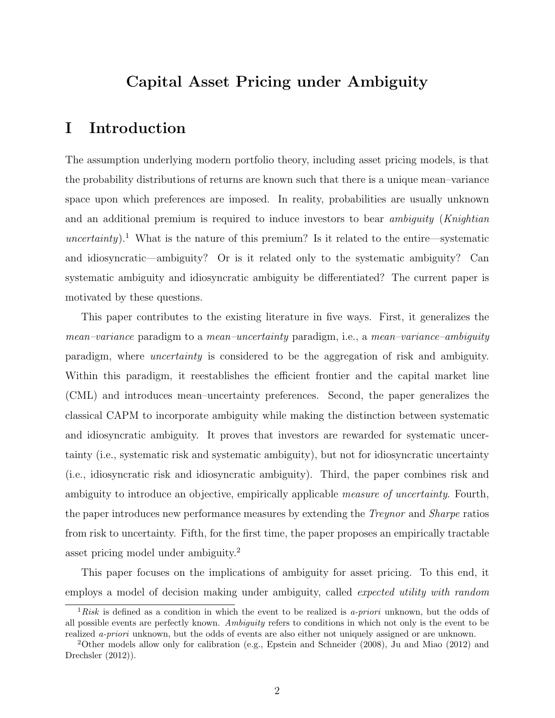### **Capital Asset Pricing under Ambiguity**

#### **I Introduction**

The assumption underlying modern portfolio theory, including asset pricing models, is that the probability distributions of returns are known such that there is a unique mean–variance space upon which preferences are imposed. In reality, probabilities are usually unknown and an additional premium is required to induce investors to bear *ambiguity* (*Knightian uncertainty*).<sup>1</sup> What is the nature of this premium? Is it related to the entire—systematic and idiosyncratic—ambiguity? Or is it related only to the systematic ambiguity? Can systematic ambiguity and idiosyncratic ambiguity be differentiated? The current paper is motivated by these questions.

This paper contributes to the existing literature in five ways. First, it generalizes the *mean–variance* paradigm to a *mean–uncertainty* paradigm, i.e., a *mean–variance–ambiguity* paradigm, where *uncertainty* is considered to be the aggregation of risk and ambiguity. Within this paradigm, it reestablishes the efficient frontier and the capital market line (CML) and introduces mean–uncertainty preferences. Second, the paper generalizes the classical CAPM to incorporate ambiguity while making the distinction between systematic and idiosyncratic ambiguity. It proves that investors are rewarded for systematic uncertainty (i.e., systematic risk and systematic ambiguity), but not for idiosyncratic uncertainty (i.e., idiosyncratic risk and idiosyncratic ambiguity). Third, the paper combines risk and ambiguity to introduce an objective, empirically applicable *measure of uncertainty*. Fourth, the paper introduces new performance measures by extending the *Treynor* and *Sharpe* ratios from risk to uncertainty. Fifth, for the first time, the paper proposes an empirically tractable asset pricing model under ambiguity.<sup>2</sup>

This paper focuses on the implications of ambiguity for asset pricing. To this end, it employs a model of decision making under ambiguity, called *expected utility with random*

<sup>1</sup>*Risk* is defined as a condition in which the event to be realized is *a-priori* unknown, but the odds of all possible events are perfectly known. *Ambiguity* refers to conditions in which not only is the event to be realized *a-priori* unknown, but the odds of events are also either not uniquely assigned or are unknown.

<sup>&</sup>lt;sup>2</sup>Other models allow only for calibration (e.g., Epstein and Schneider  $(2008)$ , Ju and Miao  $(2012)$  and Drechsler (2012)).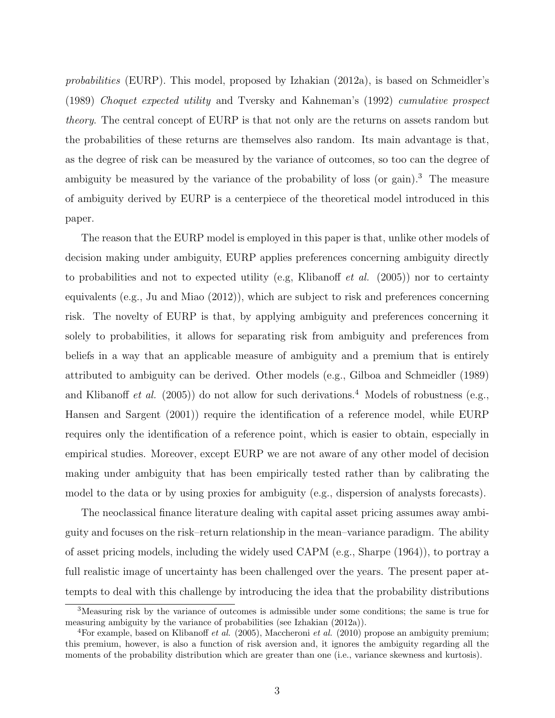*probabilities* (EURP). This model, proposed by Izhakian (2012a), is based on Schmeidler's (1989) *Choquet expected utility* and Tversky and Kahneman's (1992) *cumulative prospect theory*. The central concept of EURP is that not only are the returns on assets random but the probabilities of these returns are themselves also random. Its main advantage is that, as the degree of risk can be measured by the variance of outcomes, so too can the degree of ambiguity be measured by the variance of the probability of loss (or gain).<sup>3</sup> The measure of ambiguity derived by EURP is a centerpiece of the theoretical model introduced in this paper.

The reason that the EURP model is employed in this paper is that, unlike other models of decision making under ambiguity, EURP applies preferences concerning ambiguity directly to probabilities and not to expected utility (e.g, Klibanoff *et al.* (2005)) nor to certainty equivalents (e.g., Ju and Miao (2012)), which are subject to risk and preferences concerning risk. The novelty of EURP is that, by applying ambiguity and preferences concerning it solely to probabilities, it allows for separating risk from ambiguity and preferences from beliefs in a way that an applicable measure of ambiguity and a premium that is entirely attributed to ambiguity can be derived. Other models (e.g., Gilboa and Schmeidler (1989) and Klibanoff *et al.* (2005)) do not allow for such derivations.<sup>4</sup> Models of robustness (e.g., Hansen and Sargent (2001)) require the identification of a reference model, while EURP requires only the identification of a reference point, which is easier to obtain, especially in empirical studies. Moreover, except EURP we are not aware of any other model of decision making under ambiguity that has been empirically tested rather than by calibrating the model to the data or by using proxies for ambiguity (e.g., dispersion of analysts forecasts).

The neoclassical finance literature dealing with capital asset pricing assumes away ambiguity and focuses on the risk–return relationship in the mean–variance paradigm. The ability of asset pricing models, including the widely used CAPM (e.g., Sharpe (1964)), to portray a full realistic image of uncertainty has been challenged over the years. The present paper attempts to deal with this challenge by introducing the idea that the probability distributions

<sup>3</sup>Measuring risk by the variance of outcomes is admissible under some conditions; the same is true for measuring ambiguity by the variance of probabilities (see Izhakian (2012a)).

<sup>4</sup>For example, based on Klibanoff *et al.* (2005), Maccheroni *et al.* (2010) propose an ambiguity premium; this premium, however, is also a function of risk aversion and, it ignores the ambiguity regarding all the moments of the probability distribution which are greater than one (i.e., variance skewness and kurtosis).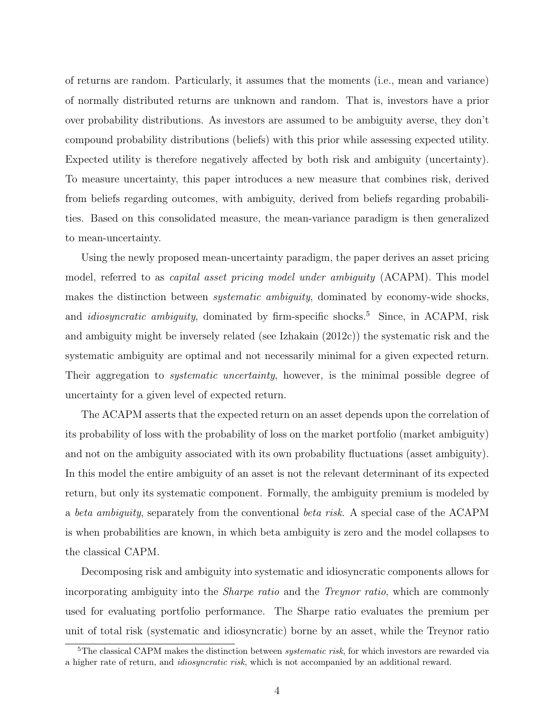of returns are random. Particularly, it assumes that the moments (i.e., mean and variance) of normally distributed returns are unknown and random. That is, investors have a prior over probability distributions. As investors are assumed to be ambiguity averse, they don't compound probability distributions (beliefs) with this prior while assessing expected utility. Expected utility is therefore negatively affected by both risk and ambiguity (uncertainty). To measure uncertainty, this paper introduces a new measure that combines risk, derived from beliefs regarding outcomes, with ambiguity, derived from beliefs regarding probabilities. Based on this consolidated measure, the mean-variance paradigm is then generalized to mean-uncertainty.

Using the newly proposed mean-uncertainty paradigm, the paper derives an asset pricing model, referred to as *capital asset pricing model under ambiguity* (ACAPM). This model makes the distinction between *systematic ambiguity*, dominated by economy-wide shocks, and *idiosyncratic ambiguity*, dominated by firm-specific shocks.<sup>5</sup> Since, in ACAPM, risk and ambiguity might be inversely related (see Izhakain (2012c)) the systematic risk and the systematic ambiguity are optimal and not necessarily minimal for a given expected return. Their aggregation to *systematic uncertainty*, however, is the minimal possible degree of uncertainty for a given level of expected return.

The ACAPM asserts that the expected return on an asset depends upon the correlation of its probability of loss with the probability of loss on the market portfolio (market ambiguity) and not on the ambiguity associated with its own probability fluctuations (asset ambiguity). In this model the entire ambiguity of an asset is not the relevant determinant of its expected return, but only its systematic component. Formally, the ambiguity premium is modeled by a *beta ambiguity*, separately from the conventional *beta risk*. A special case of the ACAPM is when probabilities are known, in which beta ambiguity is zero and the model collapses to the classical CAPM.

Decomposing risk and ambiguity into systematic and idiosyncratic components allows for incorporating ambiguity into the *Sharpe ratio* and the *Treynor ratio*, which are commonly used for evaluating portfolio performance. The Sharpe ratio evaluates the premium per unit of total risk (systematic and idiosyncratic) borne by an asset, while the Treynor ratio

<sup>&</sup>lt;sup>5</sup>The classical CAPM makes the distinction between *systematic risk*, for which investors are rewarded via a higher rate of return, and *idiosyncratic risk*, which is not accompanied by an additional reward.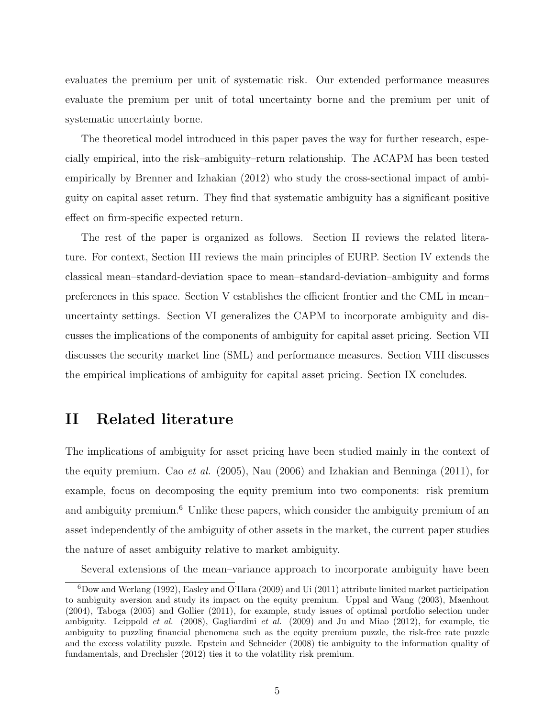evaluates the premium per unit of systematic risk. Our extended performance measures evaluate the premium per unit of total uncertainty borne and the premium per unit of systematic uncertainty borne.

The theoretical model introduced in this paper paves the way for further research, especially empirical, into the risk–ambiguity–return relationship. The ACAPM has been tested empirically by Brenner and Izhakian (2012) who study the cross-sectional impact of ambiguity on capital asset return. They find that systematic ambiguity has a significant positive effect on firm-specific expected return.

The rest of the paper is organized as follows. Section II reviews the related literature. For context, Section III reviews the main principles of EURP. Section IV extends the classical mean–standard-deviation space to mean–standard-deviation–ambiguity and forms preferences in this space. Section V establishes the efficient frontier and the CML in mean– uncertainty settings. Section VI generalizes the CAPM to incorporate ambiguity and discusses the implications of the components of ambiguity for capital asset pricing. Section VII discusses the security market line (SML) and performance measures. Section VIII discusses the empirical implications of ambiguity for capital asset pricing. Section IX concludes.

#### **II Related literature**

The implications of ambiguity for asset pricing have been studied mainly in the context of the equity premium. Cao *et al.* (2005), Nau (2006) and Izhakian and Benninga (2011), for example, focus on decomposing the equity premium into two components: risk premium and ambiguity premium.<sup>6</sup> Unlike these papers, which consider the ambiguity premium of an asset independently of the ambiguity of other assets in the market, the current paper studies the nature of asset ambiguity relative to market ambiguity.

Several extensions of the mean–variance approach to incorporate ambiguity have been

 $6Dow$  and Werlang (1992), Easley and O'Hara (2009) and Ui (2011) attribute limited market participation to ambiguity aversion and study its impact on the equity premium. Uppal and Wang (2003), Maenhout (2004), Taboga (2005) and Gollier (2011), for example, study issues of optimal portfolio selection under ambiguity. Leippold *et al.* (2008), Gagliardini *et al.* (2009) and Ju and Miao (2012), for example, tie ambiguity to puzzling financial phenomena such as the equity premium puzzle, the risk-free rate puzzle and the excess volatility puzzle. Epstein and Schneider (2008) tie ambiguity to the information quality of fundamentals, and Drechsler (2012) ties it to the volatility risk premium.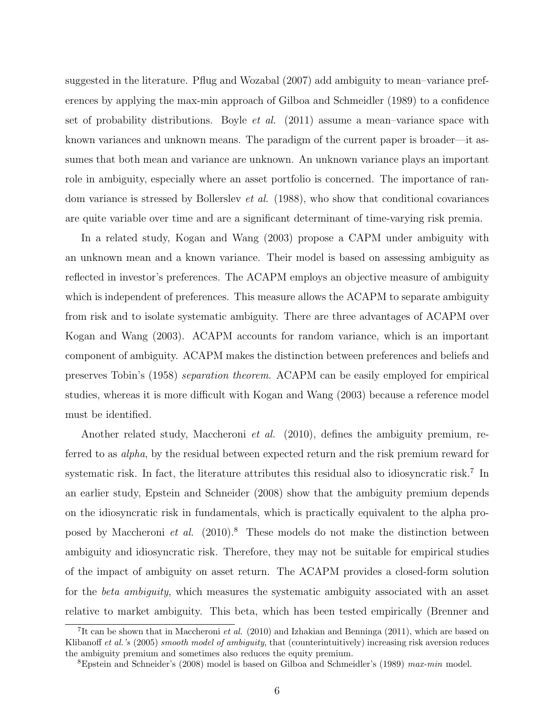suggested in the literature. Pflug and Wozabal (2007) add ambiguity to mean–variance preferences by applying the max-min approach of Gilboa and Schmeidler (1989) to a confidence set of probability distributions. Boyle *et al.* (2011) assume a mean–variance space with known variances and unknown means. The paradigm of the current paper is broader—it assumes that both mean and variance are unknown. An unknown variance plays an important role in ambiguity, especially where an asset portfolio is concerned. The importance of random variance is stressed by Bollerslev *et al.* (1988), who show that conditional covariances are quite variable over time and are a significant determinant of time-varying risk premia.

In a related study, Kogan and Wang (2003) propose a CAPM under ambiguity with an unknown mean and a known variance. Their model is based on assessing ambiguity as reflected in investor's preferences. The ACAPM employs an objective measure of ambiguity which is independent of preferences. This measure allows the ACAPM to separate ambiguity from risk and to isolate systematic ambiguity. There are three advantages of ACAPM over Kogan and Wang (2003). ACAPM accounts for random variance, which is an important component of ambiguity. ACAPM makes the distinction between preferences and beliefs and preserves Tobin's (1958) *separation theorem*. ACAPM can be easily employed for empirical studies, whereas it is more difficult with Kogan and Wang (2003) because a reference model must be identified.

Another related study, Maccheroni *et al.* (2010), defines the ambiguity premium, referred to as *alpha*, by the residual between expected return and the risk premium reward for systematic risk. In fact, the literature attributes this residual also to idiosyncratic risk.<sup>7</sup> In an earlier study, Epstein and Schneider (2008) show that the ambiguity premium depends on the idiosyncratic risk in fundamentals, which is practically equivalent to the alpha proposed by Maccheroni *et al.* (2010).<sup>8</sup> These models do not make the distinction between ambiguity and idiosyncratic risk. Therefore, they may not be suitable for empirical studies of the impact of ambiguity on asset return. The ACAPM provides a closed-form solution for the *beta ambiguity*, which measures the systematic ambiguity associated with an asset relative to market ambiguity. This beta, which has been tested empirically (Brenner and

<sup>&</sup>lt;sup>7</sup>It can be shown that in Maccheroni *et al.* (2010) and Izhakian and Benninga (2011), which are based on Klibanoff *et al.'s* (2005) *smooth model of ambiguity*, that (counterintuitively) increasing risk aversion reduces the ambiguity premium and sometimes also reduces the equity premium.

<sup>8</sup>Epstein and Schneider's (2008) model is based on Gilboa and Schmeidler's (1989) *max-min* model.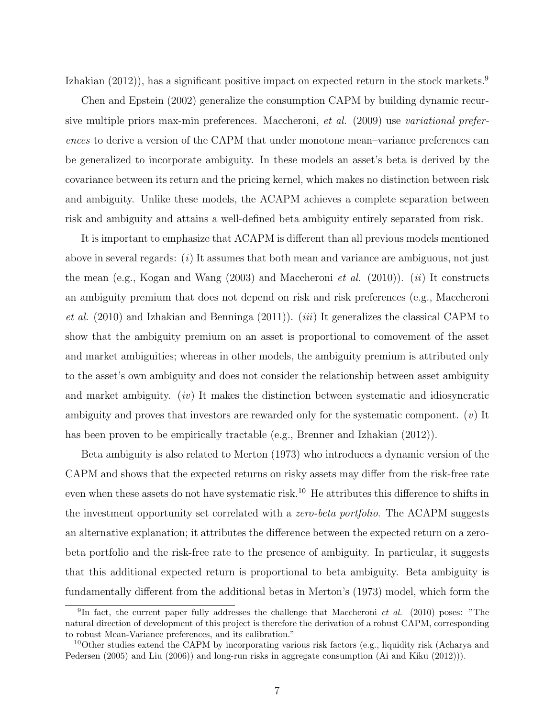Izhakian (2012)), has a significant positive impact on expected return in the stock markets.<sup>9</sup>

Chen and Epstein (2002) generalize the consumption CAPM by building dynamic recursive multiple priors max-min preferences. Maccheroni, *et al.* (2009) use *variational preferences* to derive a version of the CAPM that under monotone mean–variance preferences can be generalized to incorporate ambiguity. In these models an asset's beta is derived by the covariance between its return and the pricing kernel, which makes no distinction between risk and ambiguity. Unlike these models, the ACAPM achieves a complete separation between risk and ambiguity and attains a well-defined beta ambiguity entirely separated from risk.

It is important to emphasize that ACAPM is different than all previous models mentioned above in several regards: (*i*) It assumes that both mean and variance are ambiguous, not just the mean (e.g., Kogan and Wang (2003) and Maccheroni *et al.* (2010)). (*ii*) It constructs an ambiguity premium that does not depend on risk and risk preferences (e.g., Maccheroni *et al.* (2010) and Izhakian and Benninga (2011)). (*iii*) It generalizes the classical CAPM to show that the ambiguity premium on an asset is proportional to comovement of the asset and market ambiguities; whereas in other models, the ambiguity premium is attributed only to the asset's own ambiguity and does not consider the relationship between asset ambiguity and market ambiguity. (*iv*) It makes the distinction between systematic and idiosyncratic ambiguity and proves that investors are rewarded only for the systematic component. (*v*) It has been proven to be empirically tractable (e.g., Brenner and Izhakian (2012)).

Beta ambiguity is also related to Merton (1973) who introduces a dynamic version of the CAPM and shows that the expected returns on risky assets may differ from the risk-free rate even when these assets do not have systematic risk.<sup>10</sup> He attributes this difference to shifts in the investment opportunity set correlated with a *zero-beta portfolio*. The ACAPM suggests an alternative explanation; it attributes the difference between the expected return on a zerobeta portfolio and the risk-free rate to the presence of ambiguity. In particular, it suggests that this additional expected return is proportional to beta ambiguity. Beta ambiguity is fundamentally different from the additional betas in Merton's (1973) model, which form the

<sup>&</sup>lt;sup>9</sup>In fact, the current paper fully addresses the challenge that Maccheroni *et al.* (2010) poses: "The natural direction of development of this project is therefore the derivation of a robust CAPM, corresponding to robust Mean-Variance preferences, and its calibration."

<sup>&</sup>lt;sup>10</sup>Other studies extend the CAPM by incorporating various risk factors (e.g., liquidity risk (Acharya and Pedersen (2005) and Liu (2006)) and long-run risks in aggregate consumption (Ai and Kiku (2012))).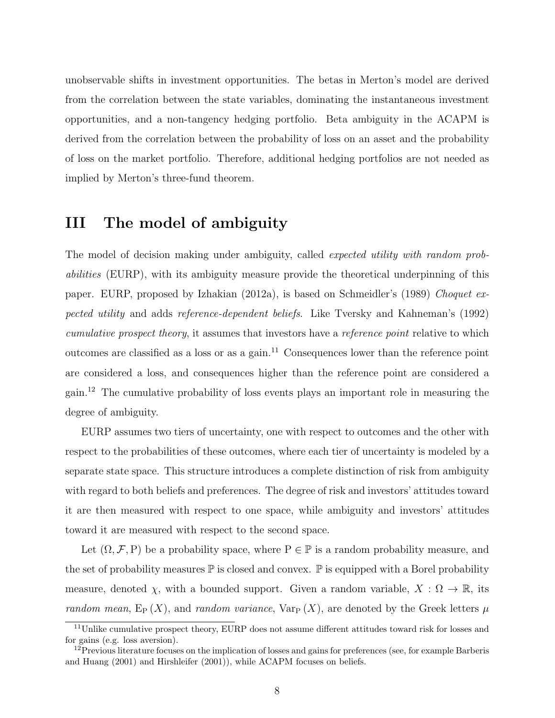unobservable shifts in investment opportunities. The betas in Merton's model are derived from the correlation between the state variables, dominating the instantaneous investment opportunities, and a non-tangency hedging portfolio. Beta ambiguity in the ACAPM is derived from the correlation between the probability of loss on an asset and the probability of loss on the market portfolio. Therefore, additional hedging portfolios are not needed as implied by Merton's three-fund theorem.

## **III The model of ambiguity**

The model of decision making under ambiguity, called *expected utility with random probabilities* (EURP), with its ambiguity measure provide the theoretical underpinning of this paper. EURP, proposed by Izhakian (2012a), is based on Schmeidler's (1989) *Choquet expected utility* and adds *reference-dependent beliefs*. Like Tversky and Kahneman's (1992) *cumulative prospect theory*, it assumes that investors have a *reference point* relative to which outcomes are classified as a loss or as a gain.<sup>11</sup> Consequences lower than the reference point are considered a loss, and consequences higher than the reference point are considered a gain.<sup>12</sup> The cumulative probability of loss events plays an important role in measuring the degree of ambiguity.

EURP assumes two tiers of uncertainty, one with respect to outcomes and the other with respect to the probabilities of these outcomes, where each tier of uncertainty is modeled by a separate state space. This structure introduces a complete distinction of risk from ambiguity with regard to both beliefs and preferences. The degree of risk and investors' attitudes toward it are then measured with respect to one space, while ambiguity and investors' attitudes toward it are measured with respect to the second space.

Let  $(\Omega, \mathcal{F}, P)$  be a probability space, where  $P \in \mathbb{P}$  is a random probability measure, and the set of probability measures  $\mathbb P$  is closed and convex.  $\mathbb P$  is equipped with a Borel probability measure, denoted  $\chi$ , with a bounded support. Given a random variable,  $X : \Omega \to \mathbb{R}$ , its *random mean*,  $E_P(X)$ , and *random variance*,  $Var_P(X)$ , are denoted by the Greek letters  $\mu$ 

<sup>&</sup>lt;sup>11</sup>Unlike cumulative prospect theory, EURP does not assume different attitudes toward risk for losses and for gains (e.g. loss aversion).

 $12$ Previous literature focuses on the implication of losses and gains for preferences (see, for example Barberis and Huang (2001) and Hirshleifer (2001)), while ACAPM focuses on beliefs.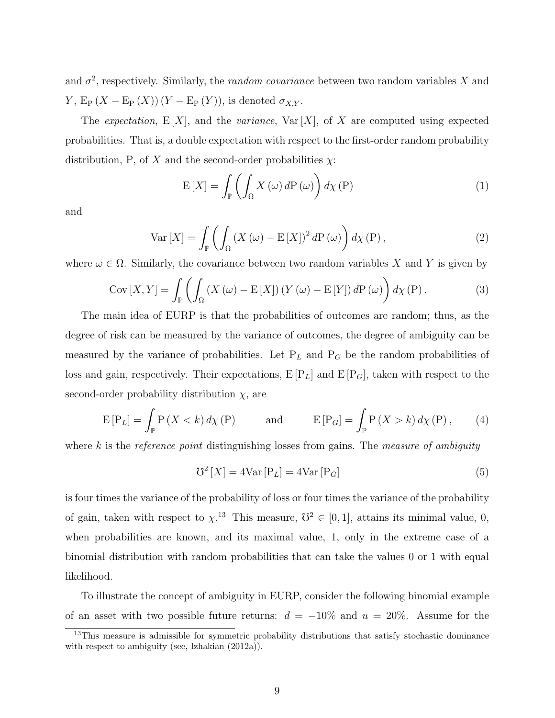and  $\sigma^2$ , respectively. Similarly, the *random covariance* between two random variables *X* and *Y*,  $E_P(X - E_P(X))(Y - E_P(Y))$ , is denoted  $\sigma_{X,Y}$ .

The *expectation*,  $E[X]$ , and the *variance*,  $Var[X]$ , of X are computed using expected probabilities. That is, a double expectation with respect to the first-order random probability distribution, P, of *X* and the second-order probabilities  $\chi$ :

$$
E[X] = \int_{\mathbb{P}} \left( \int_{\Omega} X(\omega) dP(\omega) \right) d\chi(P)
$$
 (1)

and

$$
\text{Var}\left[X\right] = \int_{\mathbb{P}} \left( \int_{\Omega} \left(X\left(\omega\right) - \mathbb{E}\left[X\right]\right)^2 d\mathcal{P}\left(\omega\right) \right) d\chi\left(\mathcal{P}\right),\tag{2}
$$

where  $\omega \in \Omega$ . Similarly, the covariance between two random variables *X* and *Y* is given by

$$
Cov [X, Y] = \int_{\mathbb{P}} \left( \int_{\Omega} \left( X (\omega) - \mathbb{E} [X] \right) \left( Y (\omega) - \mathbb{E} [Y] \right) dP (\omega) \right) d\chi \left( P \right).
$$
 (3)

The main idea of EURP is that the probabilities of outcomes are random; thus, as the degree of risk can be measured by the variance of outcomes, the degree of ambiguity can be measured by the variance of probabilities. Let  $P_L$  and  $P_G$  be the random probabilities of loss and gain, respectively. Their expectations,  $E[P_L]$  and  $E[P_G]$ , taken with respect to the second-order probability distribution  $\chi$ , are

$$
E[P_L] = \int_{\mathbb{P}} P(X < k) \, d\chi(P) \qquad \text{and} \qquad E[P_G] = \int_{\mathbb{P}} P(X > k) \, d\chi(P), \qquad (4)
$$

where *k* is the *reference point* distinguishing losses from gains. The *measure of ambiguity*

$$
\mathcal{V}^2\left[X\right] = 4\text{Var}\left[\mathcal{P}_L\right] = 4\text{Var}\left[\mathcal{P}_G\right] \tag{5}
$$

is four times the variance of the probability of loss or four times the variance of the probability of gain, taken with respect to  $\chi$ <sup>13</sup> This measure,  $\mathcal{O}^2 \in [0,1]$ , attains its minimal value, 0, when probabilities are known, and its maximal value, 1, only in the extreme case of a binomial distribution with random probabilities that can take the values 0 or 1 with equal likelihood.

To illustrate the concept of ambiguity in EURP, consider the following binomial example of an asset with two possible future returns: *d* = *−*10% and *u* = 20%. Assume for the

<sup>&</sup>lt;sup>13</sup>This measure is admissible for symmetric probability distributions that satisfy stochastic dominance with respect to ambiguity (see, Izhakian (2012a)).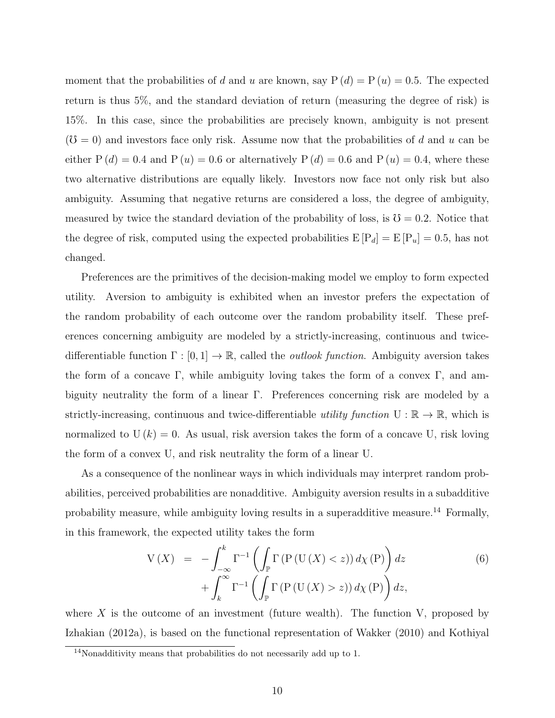moment that the probabilities of *d* and *u* are known, say  $P(d) = P(u) = 0.5$ . The expected return is thus 5%, and the standard deviation of return (measuring the degree of risk) is 15%. In this case, since the probabilities are precisely known, ambiguity is not present  $(\mathcal{O} = 0)$  and investors face only risk. Assume now that the probabilities of *d* and *u* can be either  $P(d) = 0.4$  and  $P(u) = 0.6$  or alternatively  $P(d) = 0.6$  and  $P(u) = 0.4$ , where these two alternative distributions are equally likely. Investors now face not only risk but also ambiguity. Assuming that negative returns are considered a loss, the degree of ambiguity, measured by twice the standard deviation of the probability of loss, is  $\mathcal{U} = 0.2$ . Notice that the degree of risk, computed using the expected probabilities  $E[P_d] = E[P_u] = 0.5$ , has not changed.

Preferences are the primitives of the decision-making model we employ to form expected utility. Aversion to ambiguity is exhibited when an investor prefers the expectation of the random probability of each outcome over the random probability itself. These preferences concerning ambiguity are modeled by a strictly-increasing, continuous and twicedifferentiable function Γ : [0*,* 1] *→* R, called the *outlook function*. Ambiguity aversion takes the form of a concave Γ, while ambiguity loving takes the form of a convex Γ, and ambiguity neutrality the form of a linear Γ. Preferences concerning risk are modeled by a strictly-increasing, continuous and twice-differentiable *utility function*  $U : \mathbb{R} \to \mathbb{R}$ , which is normalized to  $U(k) = 0$ . As usual, risk aversion takes the form of a concave U, risk loving the form of a convex U, and risk neutrality the form of a linear U.

As a consequence of the nonlinear ways in which individuals may interpret random probabilities, perceived probabilities are nonadditive. Ambiguity aversion results in a subadditive probability measure, while ambiguity loving results in a superadditive measure.<sup>14</sup> Formally, in this framework, the expected utility takes the form

$$
V(X) = -\int_{-\infty}^{k} \Gamma^{-1} \left( \int_{\mathbb{P}} \Gamma \left( P \left( U \left( X \right) < z \right) \right) d\chi \left( P \right) \right) dz + \int_{k}^{\infty} \Gamma^{-1} \left( \int_{\mathbb{P}} \Gamma \left( P \left( U \left( X \right) > z \right) \right) d\chi \left( P \right) \right) dz, \tag{6}
$$

where  $X$  is the outcome of an investment (future wealth). The function  $V$ , proposed by Izhakian (2012a), is based on the functional representation of Wakker (2010) and Kothiyal

<sup>14</sup>Nonadditivity means that probabilities do not necessarily add up to 1.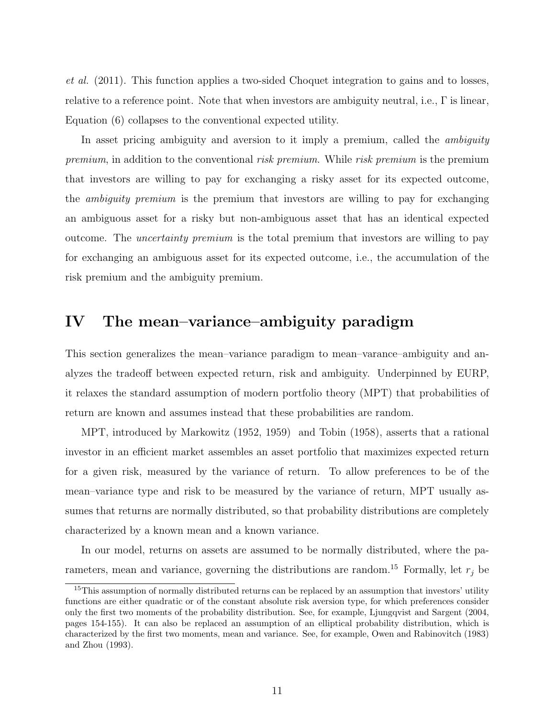*et al.* (2011). This function applies a two-sided Choquet integration to gains and to losses, relative to a reference point. Note that when investors are ambiguity neutral, i.e.,  $\Gamma$  is linear, Equation (6) collapses to the conventional expected utility.

In asset pricing ambiguity and aversion to it imply a premium, called the *ambiguity premium*, in addition to the conventional *risk premium*. While *risk premium* is the premium that investors are willing to pay for exchanging a risky asset for its expected outcome, the *ambiguity premium* is the premium that investors are willing to pay for exchanging an ambiguous asset for a risky but non-ambiguous asset that has an identical expected outcome. The *uncertainty premium* is the total premium that investors are willing to pay for exchanging an ambiguous asset for its expected outcome, i.e., the accumulation of the risk premium and the ambiguity premium.

#### **IV The mean–variance–ambiguity paradigm**

This section generalizes the mean–variance paradigm to mean–varance–ambiguity and analyzes the tradeoff between expected return, risk and ambiguity. Underpinned by EURP, it relaxes the standard assumption of modern portfolio theory (MPT) that probabilities of return are known and assumes instead that these probabilities are random.

MPT, introduced by Markowitz (1952, 1959) and Tobin (1958), asserts that a rational investor in an efficient market assembles an asset portfolio that maximizes expected return for a given risk, measured by the variance of return. To allow preferences to be of the mean–variance type and risk to be measured by the variance of return, MPT usually assumes that returns are normally distributed, so that probability distributions are completely characterized by a known mean and a known variance.

In our model, returns on assets are assumed to be normally distributed, where the parameters, mean and variance, governing the distributions are random.<sup>15</sup> Formally, let  $r_j$  be

<sup>&</sup>lt;sup>15</sup>This assumption of normally distributed returns can be replaced by an assumption that investors' utility functions are either quadratic or of the constant absolute risk aversion type, for which preferences consider only the first two moments of the probability distribution. See, for example, Ljungqvist and Sargent (2004, pages 154-155). It can also be replaced an assumption of an elliptical probability distribution, which is characterized by the first two moments, mean and variance. See, for example, Owen and Rabinovitch (1983) and Zhou (1993).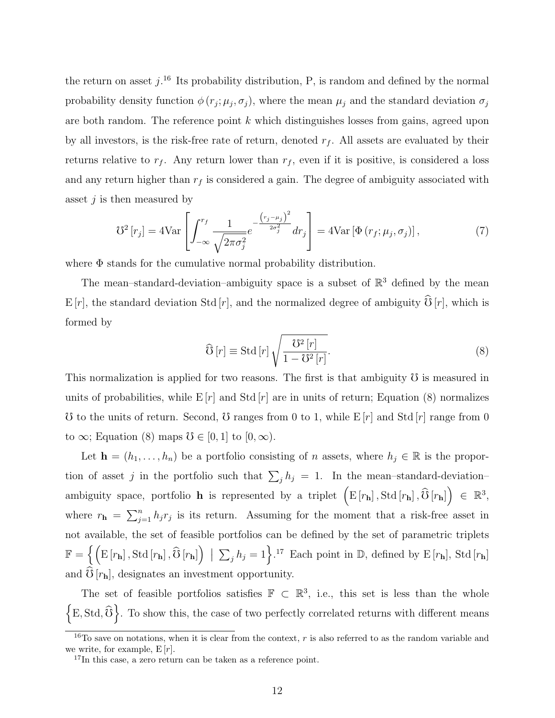the return on asset  $j$ <sup>16</sup>. Its probability distribution, P, is random and defined by the normal probability density function  $\phi(r_j; \mu_j, \sigma_j)$ , where the mean  $\mu_j$  and the standard deviation  $\sigma_j$ are both random. The reference point *k* which distinguishes losses from gains, agreed upon by all investors, is the risk-free rate of return, denoted  $r_f$ . All assets are evaluated by their returns relative to  $r_f$ . Any return lower than  $r_f$ , even if it is positive, is considered a loss and any return higher than  $r_f$  is considered a gain. The degree of ambiguity associated with asset *j* is then measured by

$$
\mathcal{V}^2\left[r_j\right] = 4\text{Var}\left[\int_{-\infty}^{r_f} \frac{1}{\sqrt{2\pi\sigma_j^2}} e^{-\frac{\left(r_j - \mu_j\right)^2}{2\sigma_j^2}} dr_j\right] = 4\text{Var}\left[\Phi\left(r_f; \mu_j, \sigma_j\right)\right],\tag{7}
$$

where Φ stands for the cumulative normal probability distribution.

The mean–standard-deviation–ambiguity space is a subset of  $\mathbb{R}^3$  defined by the mean E [*r*], the standard deviation Std [*r*], and the normalized degree of ambiguity  $\widehat{\mathcal{O}}$  [*r*], which is formed by

$$
\widehat{\mathcal{O}}\left[r\right] \equiv \text{Std}\left[r\right] \sqrt{\frac{\mathcal{O}^2\left[r\right]}{1 - \mathcal{O}^2\left[r\right]}}.\tag{8}
$$

This normalization is applied for two reasons. The first is that ambiguity  $\delta$  is measured in units of probabilities, while  $E[r]$  and Std  $[r]$  are in units of return; Equation (8) normalizes  $\sigma$  to the units of return. Second,  $\sigma$  ranges from 0 to 1, while  $E[r]$  and Std  $[r]$  range from 0 to  $\infty$ ; Equation (8) maps  $\mathcal{O} \in [0,1]$  to  $[0,\infty)$ .

Let **h** =  $(h_1, \ldots, h_n)$  be a portfolio consisting of *n* assets, where  $h_j \in \mathbb{R}$  is the proportion of asset *j* in the portfolio such that  $\sum_j h_j = 1$ . In the mean–standard-deviation– ambiguity space, portfolio **h** is represented by a triplet  $(E[r_h], \text{Std}[r_h], \widehat{O}[r_h]) \in \mathbb{R}^3$ , where  $r_{\bf h} = \sum_{j=1}^n h_j r_j$  is its return. Assuming for the moment that a risk-free asset in not available, the set of feasible portfolios can be defined by the set of parametric triplets  $\mathbb{F} = \left\{ \left( \mathbb{E} \left[ r_{\mathbf{h}} \right], \text{Std} \left[ r_{\mathbf{h}} \right], \widehat{\mathbf{U}} \left[ r_{\mathbf{h}} \right] \right) \; \middle| \; \sum_j h_j = 1 \right\}$ .<sup>17</sup> Each point in  $\mathbb{D}$ , defined by  $\mathbb{E} \left[ r_{\mathbf{h}} \right]$ , Std  $\left[ r_{\mathbf{h}} \right]$ and  $\mathcal{O}[r_{\mathbf{h}}]$ , designates an investment opportunity.

The set of feasible portfolios satisfies  $\mathbb{F} \subset \mathbb{R}^3$ , i.e., this set is less than the whole  $\left\{\text{E}, \text{Std}, \widehat{\text{O}}\right\}$ . To show this, the case of two perfectly correlated returns with different means

<sup>&</sup>lt;sup>16</sup>To save on notations, when it is clear from the context,  $r$  is also referred to as the random variable and we write, for example,  $E[r]$ .

<sup>&</sup>lt;sup>17</sup>In this case, a zero return can be taken as a reference point.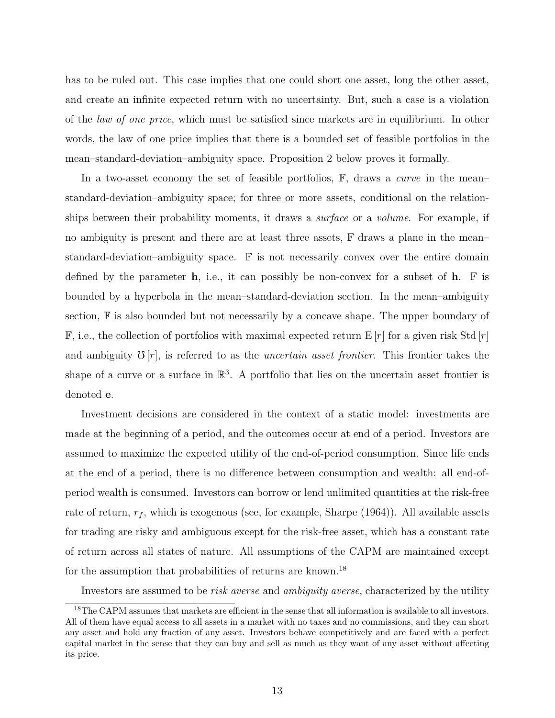has to be ruled out. This case implies that one could short one asset, long the other asset, and create an infinite expected return with no uncertainty. But, such a case is a violation of the *law of one price*, which must be satisfied since markets are in equilibrium. In other words, the law of one price implies that there is a bounded set of feasible portfolios in the mean–standard-deviation–ambiguity space. Proposition 2 below proves it formally.

In a two-asset economy the set of feasible portfolios, F, draws a *curve* in the mean– standard-deviation–ambiguity space; for three or more assets, conditional on the relationships between their probability moments, it draws a *surface* or a *volume*. For example, if no ambiguity is present and there are at least three assets,  $\mathbb F$  draws a plane in the mean– standard-deviation–ambiguity space.  $\mathbb F$  is not necessarily convex over the entire domain defined by the parameter **h**, i.e., it can possibly be non-convex for a subset of **h**.  $\mathbb{F}$  is bounded by a hyperbola in the mean–standard-deviation section. In the mean–ambiguity section,  $\mathbb F$  is also bounded but not necessarily by a concave shape. The upper boundary of  $\mathbb{F}$ , i.e., the collection of portfolios with maximal expected return  $\mathbb{E}[r]$  for a given risk Std  $|r|$ and ambiguity  $\mathcal{O}[r]$ , is referred to as the *uncertain asset frontier*. This frontier takes the shape of a curve or a surface in  $\mathbb{R}^3$ . A portfolio that lies on the uncertain asset frontier is denoted **e**.

Investment decisions are considered in the context of a static model: investments are made at the beginning of a period, and the outcomes occur at end of a period. Investors are assumed to maximize the expected utility of the end-of-period consumption. Since life ends at the end of a period, there is no difference between consumption and wealth: all end-ofperiod wealth is consumed. Investors can borrow or lend unlimited quantities at the risk-free rate of return,  $r_f$ , which is exogenous (see, for example, Sharpe (1964)). All available assets for trading are risky and ambiguous except for the risk-free asset, which has a constant rate of return across all states of nature. All assumptions of the CAPM are maintained except for the assumption that probabilities of returns are known.<sup>18</sup>

Investors are assumed to be *risk averse* and *ambiguity averse*, characterized by the utility

<sup>18</sup>The CAPM assumes that markets are efficient in the sense that all information is available to all investors. All of them have equal access to all assets in a market with no taxes and no commissions, and they can short any asset and hold any fraction of any asset. Investors behave competitively and are faced with a perfect capital market in the sense that they can buy and sell as much as they want of any asset without affecting its price.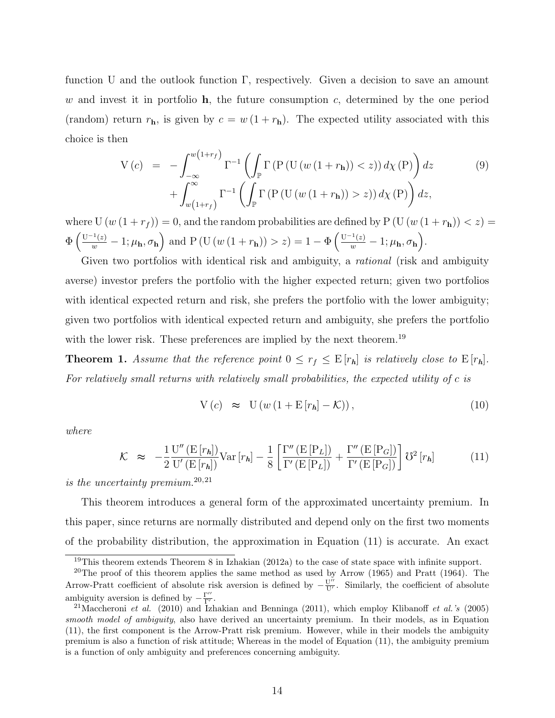function U and the outlook function Γ, respectively. Given a decision to save an amount *w* and invest it in portfolio **h**, the future consumption *c*, determined by the one period (random) return  $r_{\bf h}$ , is given by  $c = w(1 + r_{\bf h})$ . The expected utility associated with this choice is then

$$
V(c) = -\int_{-\infty}^{w(1+r_f)} \Gamma^{-1} \left( \int_{\mathbb{P}} \Gamma \left( P \left( U \left( w \left( 1 + r_{h} \right) \right) < z \right) \right) d\chi \left( P \right) \right) dz \right) + \int_{w(1+r_f)}^{\infty} \Gamma^{-1} \left( \int_{\mathbb{P}} \Gamma \left( P \left( U \left( w \left( 1 + r_{h} \right) \right) > z \right) \right) d\chi \left( P \right) \right) dz, \tag{9}
$$

where  $U(w(1 + r_f)) = 0$ , and the random probabilities are defined by  $P(U(w(1 + r_h)) < z) =$  $\Phi\left(\frac{\mathbf{U}^{-1}(z)}{w}-1;\mu_{\mathbf{h}},\sigma_{\mathbf{h}}\right)$  and P (U  $(w(1+r_{\mathbf{h}}))>z)=1-\Phi\left(\frac{\mathbf{U}^{-1}(z)}{w}-1;\mu_{\mathbf{h}},\sigma_{\mathbf{h}}\right)$ .

Given two portfolios with identical risk and ambiguity, a *rational* (risk and ambiguity averse) investor prefers the portfolio with the higher expected return; given two portfolios with identical expected return and risk, she prefers the portfolio with the lower ambiguity; given two portfolios with identical expected return and ambiguity, she prefers the portfolio with the lower risk. These preferences are implied by the next theorem.<sup>19</sup>

**Theorem 1.** *Assume that the reference point*  $0 \leq r_f \leq E[r_h]$  *is relatively close to*  $E[r_h]$ *. For relatively small returns with relatively small probabilities, the expected utility of c is*

$$
V(c) \approx U(w(1 + E[r_h] - K)), \qquad (10)
$$

*where*

$$
\mathcal{K} \approx -\frac{1}{2} \frac{\mathbf{U}''\left(\mathbf{E}\left[r_h\right]\right)}{\mathbf{U}'\left(\mathbf{E}\left[r_h\right]\right)} \text{Var}\left[r_h\right] - \frac{1}{8} \left[ \frac{\Gamma''\left(\mathbf{E}\left[\mathbf{P}_L\right]\right)}{\Gamma'\left(\mathbf{E}\left[\mathbf{P}_L\right]\right)} + \frac{\Gamma''\left(\mathbf{E}\left[\mathbf{P}_G\right]\right)}{\Gamma'\left(\mathbf{E}\left[\mathbf{P}_G\right]\right)} \right] \mathbf{U}^2\left[r_h\right] \tag{11}
$$

*is the uncertainty premium.*<sup>20</sup>*,*<sup>21</sup>

This theorem introduces a general form of the approximated uncertainty premium. In this paper, since returns are normally distributed and depend only on the first two moments of the probability distribution, the approximation in Equation (11) is accurate. An exact

<sup>&</sup>lt;sup>19</sup>This theorem extends Theorem 8 in Izhakian  $(2012a)$  to the case of state space with infinite support.

<sup>&</sup>lt;sup>20</sup>The proof of this theorem applies the same method as used by Arrow  $(1965)$  and Pratt  $(1964)$ . The Arrow-Pratt coefficient of absolute risk aversion is defined by  $-\frac{U''}{U'}$ . Similarly, the coefficient of absolute ambiguity aversion is defined by  $-\frac{\Gamma''}{\Gamma'}$ .

<sup>21</sup>Maccheroni *et al.* (2010) and Izhakian and Benninga (2011), which employ Klibanoff *et al.'s* (2005) *smooth model of ambiguity*, also have derived an uncertainty premium. In their models, as in Equation (11), the first component is the Arrow-Pratt risk premium. However, while in their models the ambiguity premium is also a function of risk attitude; Whereas in the model of Equation (11), the ambiguity premium is a function of only ambiguity and preferences concerning ambiguity.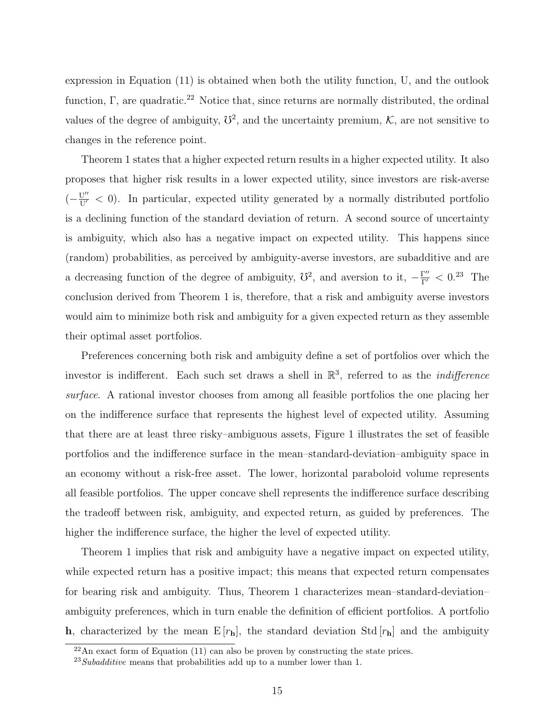expression in Equation (11) is obtained when both the utility function, U, and the outlook function,  $\Gamma$ , are quadratic.<sup>22</sup> Notice that, since returns are normally distributed, the ordinal values of the degree of ambiguity,  $\mathcal{V}^2$ , and the uncertainty premium,  $\mathcal{K}$ , are not sensitive to changes in the reference point.

Theorem 1 states that a higher expected return results in a higher expected utility. It also proposes that higher risk results in a lower expected utility, since investors are risk-averse  $(-\frac{U''}{U'} < 0)$ . In particular, expected utility generated by a normally distributed portfolio is a declining function of the standard deviation of return. A second source of uncertainty is ambiguity, which also has a negative impact on expected utility. This happens since (random) probabilities, as perceived by ambiguity-averse investors, are subadditive and are a decreasing function of the degree of ambiguity,  $\mathcal{O}^2$ , and aversion to it,  $-\frac{\Gamma''}{\Gamma'} < 0^{23}$  The conclusion derived from Theorem 1 is, therefore, that a risk and ambiguity averse investors would aim to minimize both risk and ambiguity for a given expected return as they assemble their optimal asset portfolios.

Preferences concerning both risk and ambiguity define a set of portfolios over which the investor is indifferent. Each such set draws a shell in R 3 , referred to as the *indifference surface*. A rational investor chooses from among all feasible portfolios the one placing her on the indifference surface that represents the highest level of expected utility. Assuming that there are at least three risky–ambiguous assets, Figure 1 illustrates the set of feasible portfolios and the indifference surface in the mean–standard-deviation–ambiguity space in an economy without a risk-free asset. The lower, horizontal paraboloid volume represents all feasible portfolios. The upper concave shell represents the indifference surface describing the tradeoff between risk, ambiguity, and expected return, as guided by preferences. The higher the indifference surface, the higher the level of expected utility.

Theorem 1 implies that risk and ambiguity have a negative impact on expected utility, while expected return has a positive impact; this means that expected return compensates for bearing risk and ambiguity. Thus, Theorem 1 characterizes mean–standard-deviation– ambiguity preferences, which in turn enable the definition of efficient portfolios. A portfolio **h**, characterized by the mean  $E[r_h]$ , the standard deviation Std  $[r_h]$  and the ambiguity

 $^{22}$ An exact form of Equation (11) can also be proven by constructing the state prices.

<sup>23</sup>*Subadditive* means that probabilities add up to a number lower than 1.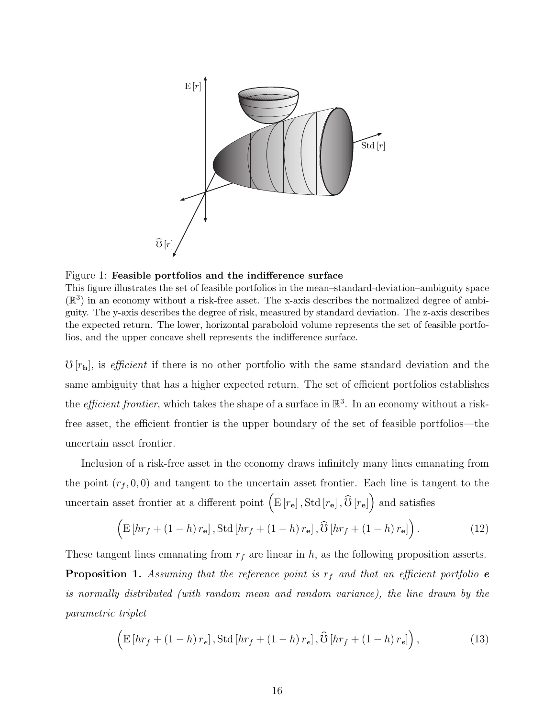

Figure 1: **Feasible portfolios and the indifference surface**

This figure illustrates the set of feasible portfolios in the mean–standard-deviation–ambiguity space  $(\mathbb{R}^3)$  in an economy without a risk-free asset. The x-axis describes the normalized degree of ambiguity. The y-axis describes the degree of risk, measured by standard deviation. The z-axis describes the expected return. The lower, horizontal paraboloid volume represents the set of feasible portfolios, and the upper concave shell represents the indifference surface.

 $\mathcal{F}[r_{\bf h}]$ , is *efficient* if there is no other portfolio with the same standard deviation and the same ambiguity that has a higher expected return. The set of efficient portfolios establishes the *efficient frontier*, which takes the shape of a surface in  $\mathbb{R}^3$ . In an economy without a riskfree asset, the efficient frontier is the upper boundary of the set of feasible portfolios—the uncertain asset frontier.

Inclusion of a risk-free asset in the economy draws infinitely many lines emanating from the point  $(r_f, 0, 0)$  and tangent to the uncertain asset frontier. Each line is tangent to the uncertain asset frontier at a different point  $(E[r_e], \text{Std}[r_e], \hat{O}[r_e])$  and satisfies

$$
\left(\mathbf{E}\left[\boldsymbol{hr}_f + (1-h)\,\boldsymbol{r}_\mathbf{e}\right], \text{Std}\left[\boldsymbol{hr}_f + (1-h)\,\boldsymbol{r}_\mathbf{e}\right], \widehat{\mathbf{U}}\left[\boldsymbol{hr}_f + (1-h)\,\boldsymbol{r}_\mathbf{e}\right]\right). \tag{12}
$$

These tangent lines emanating from *r<sup>f</sup>* are linear in *h*, as the following proposition asserts. **Proposition 1.** Assuming that the reference point is  $r_f$  and that an efficient portfolio **e** *is normally distributed (with random mean and random variance), the line drawn by the parametric triplet*

$$
\left(\mathbf{E}\left[\boldsymbol{h}\boldsymbol{r}_{f}+\left(1-h\right)\boldsymbol{r}_{e}\right],\mathbf{Std}\left[\boldsymbol{h}\boldsymbol{r}_{f}+\left(1-h\right)\boldsymbol{r}_{e}\right],\widehat{\mathbf{U}}\left[\boldsymbol{h}\boldsymbol{r}_{f}+\left(1-h\right)\boldsymbol{r}_{e}\right]\right),\tag{13}
$$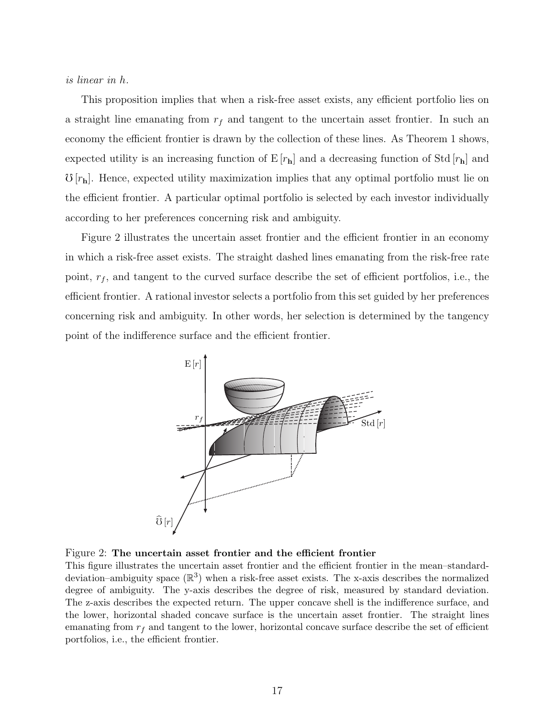#### *is linear in h.*

This proposition implies that when a risk-free asset exists, any efficient portfolio lies on a straight line emanating from *r<sup>f</sup>* and tangent to the uncertain asset frontier. In such an economy the efficient frontier is drawn by the collection of these lines. As Theorem 1 shows, expected utility is an increasing function of  $E[r_h]$  and a decreasing function of Std  $[r_h]$  and  $\mathcal{O}[r_{\bf h}]$ . Hence, expected utility maximization implies that any optimal portfolio must lie on the efficient frontier. A particular optimal portfolio is selected by each investor individually according to her preferences concerning risk and ambiguity.

Figure 2 illustrates the uncertain asset frontier and the efficient frontier in an economy in which a risk-free asset exists. The straight dashed lines emanating from the risk-free rate point, *r<sup>f</sup>* , and tangent to the curved surface describe the set of efficient portfolios, i.e., the efficient frontier. A rational investor selects a portfolio from this set guided by her preferences concerning risk and ambiguity. In other words, her selection is determined by the tangency point of the indifference surface and the efficient frontier.





This figure illustrates the uncertain asset frontier and the efficient frontier in the mean–standarddeviation–ambiguity space  $(\mathbb{R}^3)$  when a risk-free asset exists. The x-axis describes the normalized degree of ambiguity. The y-axis describes the degree of risk, measured by standard deviation. The z-axis describes the expected return. The upper concave shell is the indifference surface, and the lower, horizontal shaded concave surface is the uncertain asset frontier. The straight lines emanating from  $r_f$  and tangent to the lower, horizontal concave surface describe the set of efficient portfolios, i.e., the efficient frontier.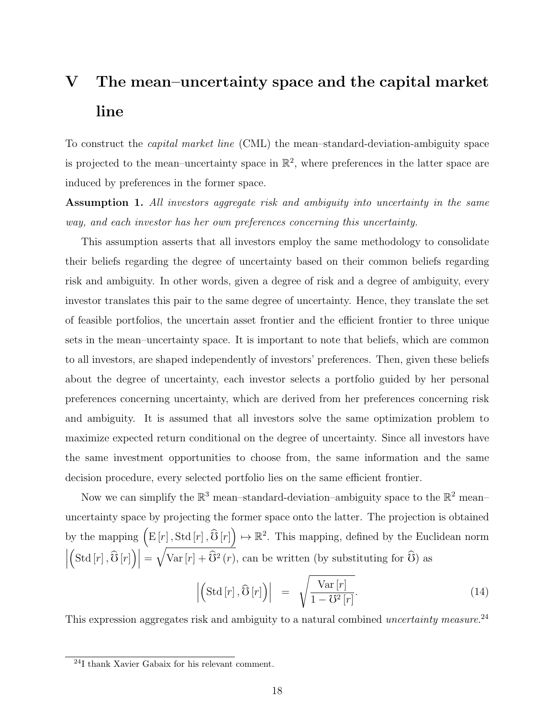# **V The mean–uncertainty space and the capital market line**

To construct the *capital market line* (CML) the mean–standard-deviation-ambiguity space is projected to the mean-uncertainty space in  $\mathbb{R}^2$ , where preferences in the latter space are induced by preferences in the former space.

**Assumption 1.** *All investors aggregate risk and ambiguity into uncertainty in the same way, and each investor has her own preferences concerning this uncertainty.*

This assumption asserts that all investors employ the same methodology to consolidate their beliefs regarding the degree of uncertainty based on their common beliefs regarding risk and ambiguity. In other words, given a degree of risk and a degree of ambiguity, every investor translates this pair to the same degree of uncertainty. Hence, they translate the set of feasible portfolios, the uncertain asset frontier and the efficient frontier to three unique sets in the mean–uncertainty space. It is important to note that beliefs, which are common to all investors, are shaped independently of investors' preferences. Then, given these beliefs about the degree of uncertainty, each investor selects a portfolio guided by her personal preferences concerning uncertainty, which are derived from her preferences concerning risk and ambiguity. It is assumed that all investors solve the same optimization problem to maximize expected return conditional on the degree of uncertainty. Since all investors have the same investment opportunities to choose from, the same information and the same decision procedure, every selected portfolio lies on the same efficient frontier.

Now we can simplify the  $\mathbb{R}^3$  mean-standard-deviation-ambiguity space to the  $\mathbb{R}^2$  meanuncertainty space by projecting the former space onto the latter. The projection is obtained by the mapping  $(E[r], \text{Std}[r], \widehat{O}[r]) \mapsto \mathbb{R}^2$ . This mapping, defined by the Euclidean norm  $\begin{array}{c} \begin{array}{c} \begin{array}{c} \end{array} \\ \begin{array}{c} \end{array} \end{array} \end{array}$  $\left( \text{Std}[r], \widehat{\mathbb{G}}[r] \right) \Big| = \sqrt{\text{Var}[r] + \widehat{\mathbb{G}}^2(r)}$ , can be written (by substituting for  $\widehat{\mathbb{G}}$ ) as

$$
\left| \left( \operatorname{Std}\left[ r \right], \widehat{\mathbf{U}}\left[ r \right] \right) \right| = \sqrt{\frac{\operatorname{Var}\left[ r \right]}{1 - \mathbf{U}^2 \left[ r \right]}}.
$$
\n(14)

This expression aggregates risk and ambiguity to a natural combined *uncertainty measure*. 24

<sup>24</sup>I thank Xavier Gabaix for his relevant comment.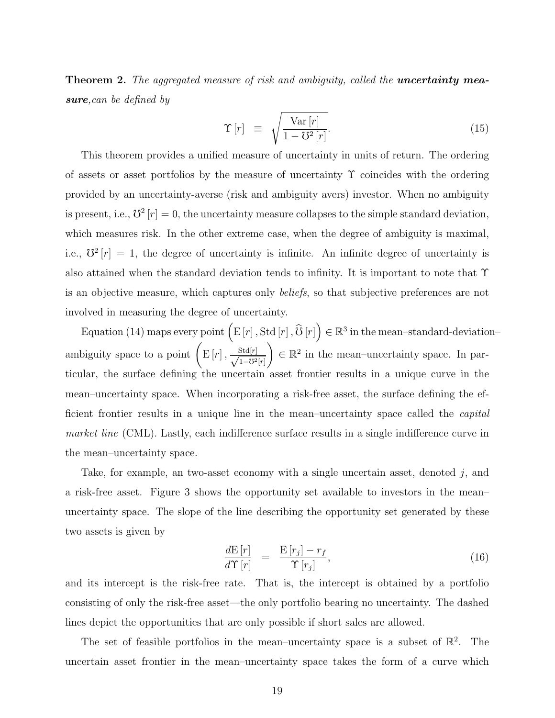**Theorem 2.** *The aggregated measure of risk and ambiguity, called the uncertainty measure,can be defined by*

$$
\Upsilon[r] \equiv \sqrt{\frac{\text{Var}[r]}{1 - \mho^2[r]}}.\tag{15}
$$

This theorem provides a unified measure of uncertainty in units of return. The ordering of assets or asset portfolios by the measure of uncertainty  $\Upsilon$  coincides with the ordering provided by an uncertainty-averse (risk and ambiguity avers) investor. When no ambiguity is present, i.e.,  $\mathcal{V}^2[r] = 0$ , the uncertainty measure collapses to the simple standard deviation, which measures risk. In the other extreme case, when the degree of ambiguity is maximal, i.e.,  $\mathbb{S}^2[r] = 1$ , the degree of uncertainty is infinite. An infinite degree of uncertainty is also attained when the standard deviation tends to infinity. It is important to note that Υ is an objective measure, which captures only *beliefs*, so that subjective preferences are not involved in measuring the degree of uncertainty.

Equation (14) maps every point  $(E[r], \text{Std}[r], \widehat{O}[r]) \in \mathbb{R}^3$  in the mean–standard-deviation– ambiguity space to a point  $\left( \mathrm{E}\left[ r\right], \frac{\mathrm{Std}[r]}{\sqrt{1-r^{2}}}\right)$ <sup>1</sup>*−*f2[*r*]  $\setminus$  $\in \mathbb{R}^2$  in the mean–uncertainty space. In particular, the surface defining the uncertain asset frontier results in a unique curve in the mean–uncertainty space. When incorporating a risk-free asset, the surface defining the efficient frontier results in a unique line in the mean–uncertainty space called the *capital market line* (CML). Lastly, each indifference surface results in a single indifference curve in the mean–uncertainty space.

Take, for example, an two-asset economy with a single uncertain asset, denoted *j*, and a risk-free asset. Figure 3 shows the opportunity set available to investors in the mean– uncertainty space. The slope of the line describing the opportunity set generated by these two assets is given by

$$
\frac{dE[r]}{d\Upsilon[r]} = \frac{E[r_j] - r_f}{\Upsilon[r_j]},\tag{16}
$$

and its intercept is the risk-free rate. That is, the intercept is obtained by a portfolio consisting of only the risk-free asset—the only portfolio bearing no uncertainty. The dashed lines depict the opportunities that are only possible if short sales are allowed.

The set of feasible portfolios in the mean-uncertainty space is a subset of  $\mathbb{R}^2$ . The uncertain asset frontier in the mean–uncertainty space takes the form of a curve which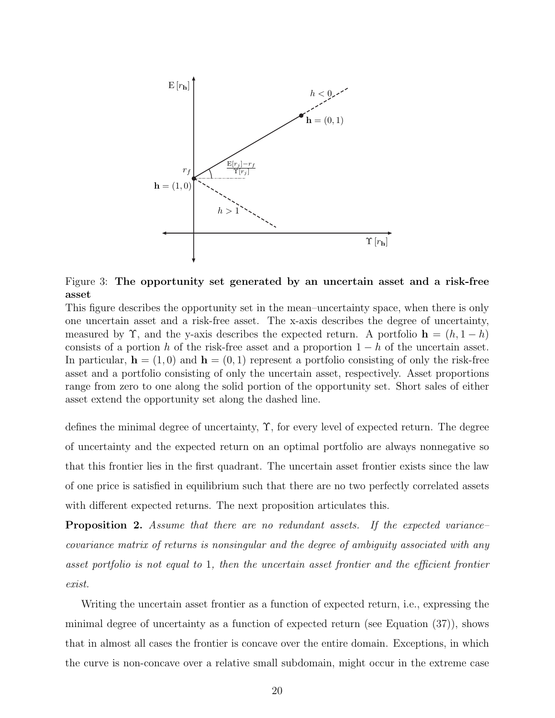

Figure 3: **The opportunity set generated by an uncertain asset and a risk-free asset**

This figure describes the opportunity set in the mean–uncertainty space, when there is only one uncertain asset and a risk-free asset. The x-axis describes the degree of uncertainty, measured by  $\Upsilon$ , and the y-axis describes the expected return. A portfolio  $\mathbf{h} = (h, 1 - h)$ consists of a portion *h* of the risk-free asset and a proportion 1 *− h* of the uncertain asset. In particular,  $\mathbf{h} = (1,0)$  and  $\mathbf{h} = (0,1)$  represent a portfolio consisting of only the risk-free asset and a portfolio consisting of only the uncertain asset, respectively. Asset proportions range from zero to one along the solid portion of the opportunity set. Short sales of either asset extend the opportunity set along the dashed line.

defines the minimal degree of uncertainty, Υ, for every level of expected return. The degree of uncertainty and the expected return on an optimal portfolio are always nonnegative so that this frontier lies in the first quadrant. The uncertain asset frontier exists since the law of one price is satisfied in equilibrium such that there are no two perfectly correlated assets with different expected returns. The next proposition articulates this.

**Proposition 2.** *Assume that there are no redundant assets. If the expected variance– covariance matrix of returns is nonsingular and the degree of ambiguity associated with any asset portfolio is not equal to* 1*, then the uncertain asset frontier and the efficient frontier exist.*

Writing the uncertain asset frontier as a function of expected return, i.e., expressing the minimal degree of uncertainty as a function of expected return (see Equation (37)), shows that in almost all cases the frontier is concave over the entire domain. Exceptions, in which the curve is non-concave over a relative small subdomain, might occur in the extreme case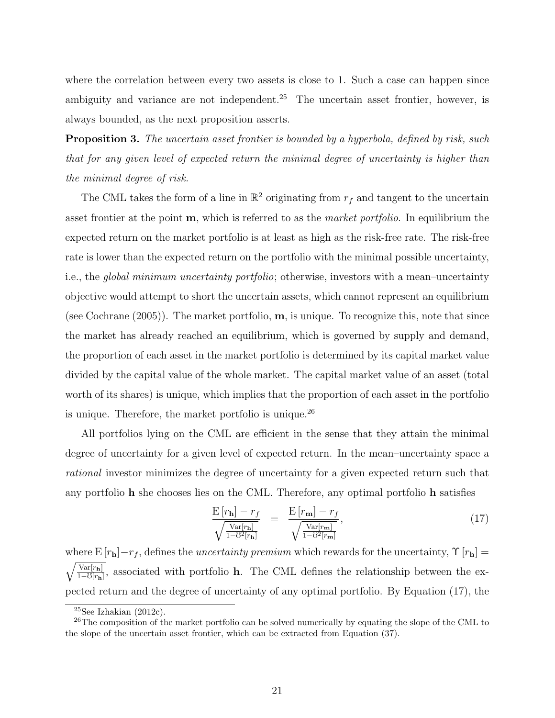where the correlation between every two assets is close to 1. Such a case can happen since ambiguity and variance are not independent.<sup>25</sup> The uncertain asset frontier, however, is always bounded, as the next proposition asserts.

**Proposition 3.** *The uncertain asset frontier is bounded by a hyperbola, defined by risk, such that for any given level of expected return the minimal degree of uncertainty is higher than the minimal degree of risk.*

The CML takes the form of a line in  $\mathbb{R}^2$  originating from  $r_f$  and tangent to the uncertain asset frontier at the point **m**, which is referred to as the *market portfolio*. In equilibrium the expected return on the market portfolio is at least as high as the risk-free rate. The risk-free rate is lower than the expected return on the portfolio with the minimal possible uncertainty, i.e., the *global minimum uncertainty portfolio*; otherwise, investors with a mean–uncertainty objective would attempt to short the uncertain assets, which cannot represent an equilibrium (see Cochrane (2005)). The market portfolio, **m**, is unique. To recognize this, note that since the market has already reached an equilibrium, which is governed by supply and demand, the proportion of each asset in the market portfolio is determined by its capital market value divided by the capital value of the whole market. The capital market value of an asset (total worth of its shares) is unique, which implies that the proportion of each asset in the portfolio is unique. Therefore, the market portfolio is unique.<sup>26</sup>

All portfolios lying on the CML are efficient in the sense that they attain the minimal degree of uncertainty for a given level of expected return. In the mean–uncertainty space a *rational* investor minimizes the degree of uncertainty for a given expected return such that any portfolio **h** she chooses lies on the CML. Therefore, any optimal portfolio **h** satisfies

$$
\frac{\mathbf{E}\left[r_{\mathbf{h}}\right] - r_{f}}{\sqrt{\frac{\text{Var}[r_{\mathbf{h}}]}{1 - \sigma^2[r_{\mathbf{h}}]}}} = \frac{\mathbf{E}\left[r_{\mathbf{m}}\right] - r_{f}}{\sqrt{\frac{\text{Var}[r_{\mathbf{m}}]}{1 - \sigma^2[r_{\mathbf{m}}]}}},\tag{17}
$$

where  $E[r_{\bf h}]-r_f$ , defines the *uncertainty premium* which rewards for the uncertainty,  $\Upsilon[r_{\bf h}]=$  $\sqrt{\text{Var}[r_{\mathbf{h}}]}$  $\frac{\text{Var}[r_{\mathbf{h}}]}{1-\mathcal{O}[r_{\mathbf{h}}]}$ , associated with portfolio **h**. The CML defines the relationship between the expected return and the degree of uncertainty of any optimal portfolio. By Equation (17), the

 $25$ See Izhakian (2012c).

<sup>&</sup>lt;sup>26</sup>The composition of the market portfolio can be solved numerically by equating the slope of the CML to the slope of the uncertain asset frontier, which can be extracted from Equation (37).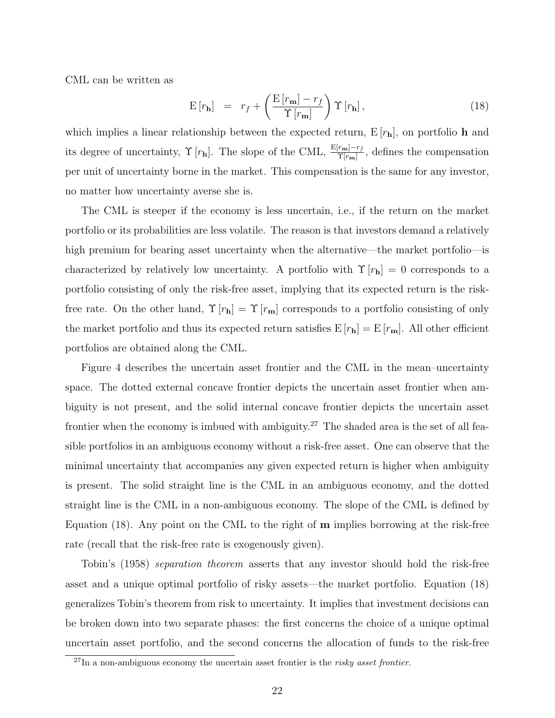CML can be written as

$$
E[r_{\mathbf{h}}] = r_f + \left(\frac{E[r_{\mathbf{m}}] - r_f}{\Upsilon[r_{\mathbf{m}}]}\right) \Upsilon[r_{\mathbf{h}}], \qquad (18)
$$

which implies a linear relationship between the expected return, E [*r***h**], on portfolio **h** and its degree of uncertainty,  $\Upsilon$  [ $r$ **h**]. The slope of the CML,  $\frac{E[r_m]-r_f}{\Upsilon[r_m]}$ , defines the compensation per unit of uncertainty borne in the market. This compensation is the same for any investor, no matter how uncertainty averse she is.

The CML is steeper if the economy is less uncertain, i.e., if the return on the market portfolio or its probabilities are less volatile. The reason is that investors demand a relatively high premium for bearing asset uncertainty when the alternative—the market portfolio—is characterized by relatively low uncertainty. A portfolio with  $\Upsilon[r_{\mathbf{h}}] = 0$  corresponds to a portfolio consisting of only the risk-free asset, implying that its expected return is the riskfree rate. On the other hand,  $\Upsilon[r_{\mathbf{h}}] = \Upsilon[r_{\mathbf{m}}]$  corresponds to a portfolio consisting of only the market portfolio and thus its expected return satisfies  $E[r_h] = E[r_m]$ . All other efficient portfolios are obtained along the CML.

Figure 4 describes the uncertain asset frontier and the CML in the mean–uncertainty space. The dotted external concave frontier depicts the uncertain asset frontier when ambiguity is not present, and the solid internal concave frontier depicts the uncertain asset frontier when the economy is imbued with ambiguity.<sup>27</sup> The shaded area is the set of all feasible portfolios in an ambiguous economy without a risk-free asset. One can observe that the minimal uncertainty that accompanies any given expected return is higher when ambiguity is present. The solid straight line is the CML in an ambiguous economy, and the dotted straight line is the CML in a non-ambiguous economy. The slope of the CML is defined by Equation (18). Any point on the CML to the right of **m** implies borrowing at the risk-free rate (recall that the risk-free rate is exogenously given).

Tobin's (1958) *separation theorem* asserts that any investor should hold the risk-free asset and a unique optimal portfolio of risky assets—the market portfolio. Equation (18) generalizes Tobin's theorem from risk to uncertainty. It implies that investment decisions can be broken down into two separate phases: the first concerns the choice of a unique optimal uncertain asset portfolio, and the second concerns the allocation of funds to the risk-free

<sup>27</sup>In a non-ambiguous economy the uncertain asset frontier is the *risky asset frontier*.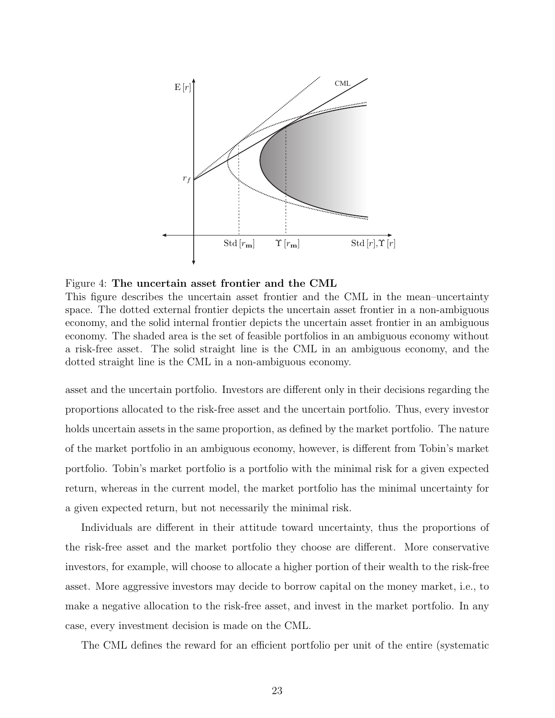

Figure 4: **The uncertain asset frontier and the CML**

This figure describes the uncertain asset frontier and the CML in the mean–uncertainty space. The dotted external frontier depicts the uncertain asset frontier in a non-ambiguous economy, and the solid internal frontier depicts the uncertain asset frontier in an ambiguous economy. The shaded area is the set of feasible portfolios in an ambiguous economy without a risk-free asset. The solid straight line is the CML in an ambiguous economy, and the dotted straight line is the CML in a non-ambiguous economy.

asset and the uncertain portfolio. Investors are different only in their decisions regarding the proportions allocated to the risk-free asset and the uncertain portfolio. Thus, every investor holds uncertain assets in the same proportion, as defined by the market portfolio. The nature of the market portfolio in an ambiguous economy, however, is different from Tobin's market portfolio. Tobin's market portfolio is a portfolio with the minimal risk for a given expected return, whereas in the current model, the market portfolio has the minimal uncertainty for a given expected return, but not necessarily the minimal risk.

Individuals are different in their attitude toward uncertainty, thus the proportions of the risk-free asset and the market portfolio they choose are different. More conservative investors, for example, will choose to allocate a higher portion of their wealth to the risk-free asset. More aggressive investors may decide to borrow capital on the money market, i.e., to make a negative allocation to the risk-free asset, and invest in the market portfolio. In any case, every investment decision is made on the CML.

The CML defines the reward for an efficient portfolio per unit of the entire (systematic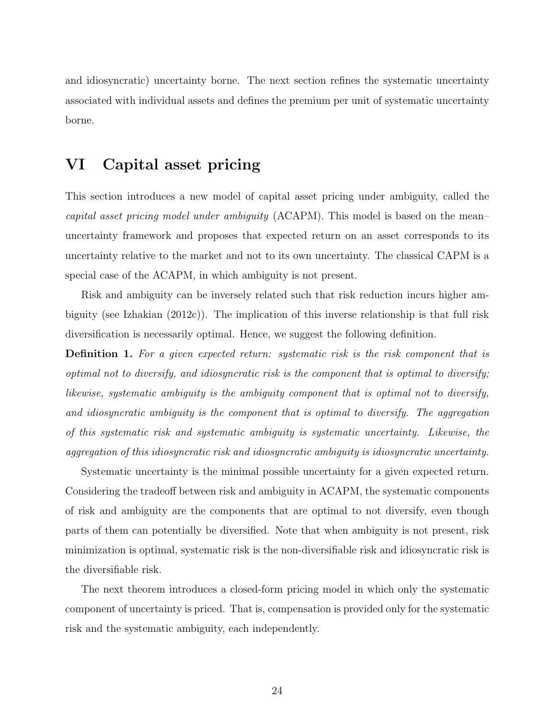and idiosyncratic) uncertainty borne. The next section refines the systematic uncertainty associated with individual assets and defines the premium per unit of systematic uncertainty borne.

### **VI Capital asset pricing**

This section introduces a new model of capital asset pricing under ambiguity, called the *capital asset pricing model under ambiguity* (ACAPM). This model is based on the mean– uncertainty framework and proposes that expected return on an asset corresponds to its uncertainty relative to the market and not to its own uncertainty. The classical CAPM is a special case of the ACAPM, in which ambiguity is not present.

Risk and ambiguity can be inversely related such that risk reduction incurs higher ambiguity (see Izhakian (2012c)). The implication of this inverse relationship is that full risk diversification is necessarily optimal. Hence, we suggest the following definition.

**Definition 1.** *For a given expected return: systematic risk is the risk component that is optimal not to diversify, and idiosyncratic risk is the component that is optimal to diversify; likewise, systematic ambiguity is the ambiguity component that is optimal not to diversify, and idiosyncratic ambiguity is the component that is optimal to diversify. The aggregation of this systematic risk and systematic ambiguity is systematic uncertainty. Likewise, the aggregation of this idiosyncratic risk and idiosyncratic ambiguity is idiosyncratic uncertainty.*

Systematic uncertainty is the minimal possible uncertainty for a given expected return. Considering the tradeoff between risk and ambiguity in ACAPM, the systematic components of risk and ambiguity are the components that are optimal to not diversify, even though parts of them can potentially be diversified. Note that when ambiguity is not present, risk minimization is optimal, systematic risk is the non-diversifiable risk and idiosyncratic risk is the diversifiable risk.

The next theorem introduces a closed-form pricing model in which only the systematic component of uncertainty is priced. That is, compensation is provided only for the systematic risk and the systematic ambiguity, each independently.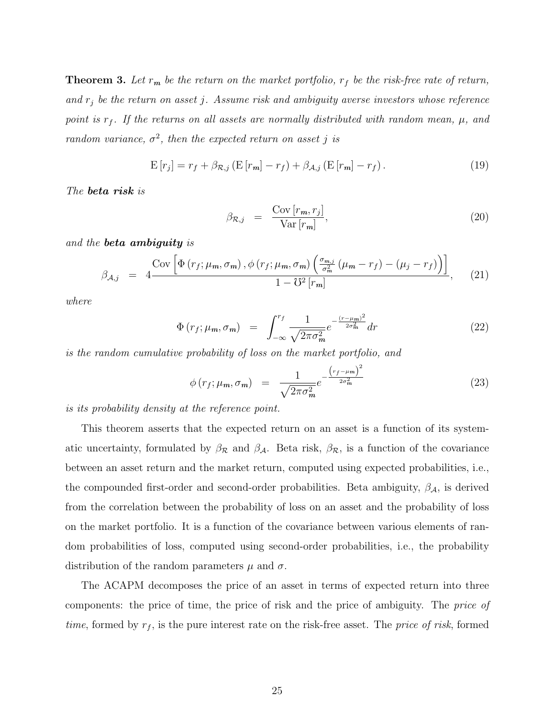**Theorem 3.** Let  $r_m$  be the return on the market portfolio,  $r_f$  be the risk-free rate of return, *and r<sup>j</sup> be the return on asset j. Assume risk and ambiguity averse investors whose reference point is*  $r_f$ . If the returns on all assets are normally distributed with random mean,  $\mu$ , and *random variance,*  $\sigma^2$ *, then the expected return on asset j is* 

$$
\mathbf{E}\left[r_j\right] = r_f + \beta_{\mathcal{R},j} \left(\mathbf{E}\left[r_m\right] - r_f\right) + \beta_{\mathcal{A},j} \left(\mathbf{E}\left[r_m\right] - r_f\right). \tag{19}
$$

*The beta risk is*

$$
\beta_{\mathcal{R},j} = \frac{\text{Cov}[r_m, r_j]}{\text{Var}[r_m]},\tag{20}
$$

*and the beta ambiguity is*

$$
\beta_{\mathcal{A},j} = 4 \frac{\text{Cov}\left[\Phi\left(r_f; \mu_m, \sigma_m\right), \phi\left(r_f; \mu_m, \sigma_m\right)\left(\frac{\sigma_{m,j}}{\sigma_m^2}\left(\mu_m - r_f\right) - \left(\mu_j - r_f\right)\right)\right]}{1 - \mho^2 \left[r_m\right]}, \quad (21)
$$

*where*

$$
\Phi(r_f; \mu_m, \sigma_m) = \int_{-\infty}^{r_f} \frac{1}{\sqrt{2\pi\sigma_m^2}} e^{-\frac{(r - \mu_m)^2}{2\sigma_m^2}} dr \tag{22}
$$

*is the random cumulative probability of loss on the market portfolio, and*

$$
\phi\left(r_f; \mu_m, \sigma_m\right) = \frac{1}{\sqrt{2\pi\sigma_m^2}} e^{-\frac{\left(r_f - \mu_m\right)^2}{2\sigma_m^2}} \tag{23}
$$

*is its probability density at the reference point.*

This theorem asserts that the expected return on an asset is a function of its systematic uncertainty, formulated by  $\beta_{\mathcal{R}}$  and  $\beta_{\mathcal{A}}$ . Beta risk,  $\beta_{\mathcal{R}}$ , is a function of the covariance between an asset return and the market return, computed using expected probabilities, i.e., the compounded first-order and second-order probabilities. Beta ambiguity, *βA*, is derived from the correlation between the probability of loss on an asset and the probability of loss on the market portfolio. It is a function of the covariance between various elements of random probabilities of loss, computed using second-order probabilities, i.e., the probability distribution of the random parameters  $\mu$  and  $\sigma$ .

The ACAPM decomposes the price of an asset in terms of expected return into three components: the price of time, the price of risk and the price of ambiguity. The *price of time*, formed by *r<sup>f</sup>* , is the pure interest rate on the risk-free asset. The *price of risk*, formed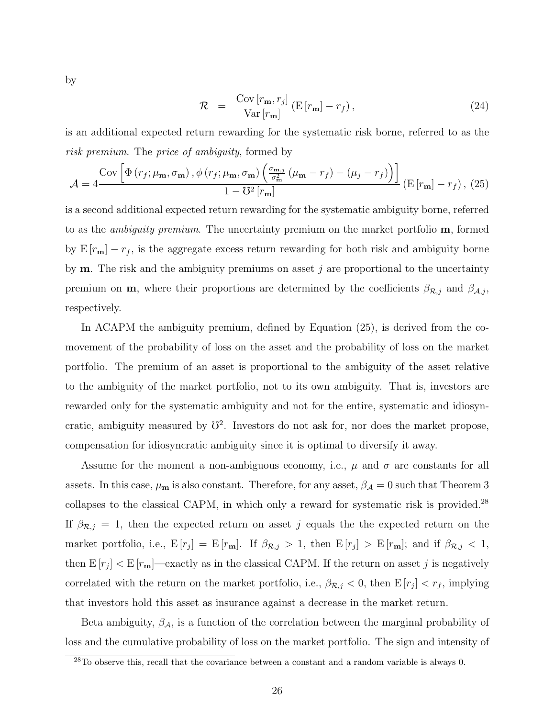by

$$
\mathcal{R} = \frac{\text{Cov}[r_{\mathbf{m}}, r_j]}{\text{Var}[r_{\mathbf{m}}]} \left( \mathbf{E}[r_{\mathbf{m}}] - r_f \right), \tag{24}
$$

is an additional expected return rewarding for the systematic risk borne, referred to as the *risk premium*. The *price of ambiguity*, formed by

$$
\mathcal{A} = 4 \frac{\text{Cov}\left[\Phi\left(r_f; \mu_{\mathbf{m}}, \sigma_{\mathbf{m}}\right), \phi\left(r_f; \mu_{\mathbf{m}}, \sigma_{\mathbf{m}}\right) \left(\frac{\sigma_{\mathbf{m},j}}{\sigma_{\mathbf{m}}^2} \left(\mu_{\mathbf{m}} - r_f\right) - \left(\mu_j - r_f\right)\right)\right]}{1 - \mho^2 \left[r_{\mathbf{m}}\right]} \left(\mathbf{E}\left[r_{\mathbf{m}}\right] - r_f\right), (25)
$$

is a second additional expected return rewarding for the systematic ambiguity borne, referred to as the *ambiguity premium*. The uncertainty premium on the market portfolio **m**, formed by  $E[r_m] - r_f$ , is the aggregate excess return rewarding for both risk and ambiguity borne by **m**. The risk and the ambiguity premiums on asset  $j$  are proportional to the uncertainty premium on **m**, where their proportions are determined by the coefficients  $\beta_{\mathcal{R},j}$  and  $\beta_{\mathcal{A},j}$ , respectively.

In ACAPM the ambiguity premium, defined by Equation (25), is derived from the comovement of the probability of loss on the asset and the probability of loss on the market portfolio. The premium of an asset is proportional to the ambiguity of the asset relative to the ambiguity of the market portfolio, not to its own ambiguity. That is, investors are rewarded only for the systematic ambiguity and not for the entire, systematic and idiosyncratic, ambiguity measured by  $\mathcal{V}^2$ . Investors do not ask for, nor does the market propose, compensation for idiosyncratic ambiguity since it is optimal to diversify it away.

Assume for the moment a non-ambiguous economy, i.e.,  $\mu$  and  $\sigma$  are constants for all assets. In this case,  $\mu_{\bf m}$  is also constant. Therefore, for any asset,  $\beta_{\cal A} = 0$  such that Theorem 3 collapses to the classical CAPM, in which only a reward for systematic risk is provided.<sup>28</sup> If  $\beta_{\mathcal{R},j} = 1$ , then the expected return on asset *j* equals the the expected return on the market portfolio, i.e.,  $E[r_j] = E[r_m]$ . If  $\beta_{\mathcal{R},j} > 1$ , then  $E[r_j] > E[r_m]$ ; and if  $\beta_{\mathcal{R},j} < 1$ , then  $E[r_j] < E[r_m]$ —exactly as in the classical CAPM. If the return on asset *j* is negatively correlated with the return on the market portfolio, i.e.,  $\beta_{\mathcal{R},j} < 0$ , then  $E[r_j] < r_f$ , implying that investors hold this asset as insurance against a decrease in the market return.

Beta ambiguity,  $\beta_{\mathcal{A}}$ , is a function of the correlation between the marginal probability of loss and the cumulative probability of loss on the market portfolio. The sign and intensity of

<sup>28</sup>To observe this, recall that the covariance between a constant and a random variable is always 0.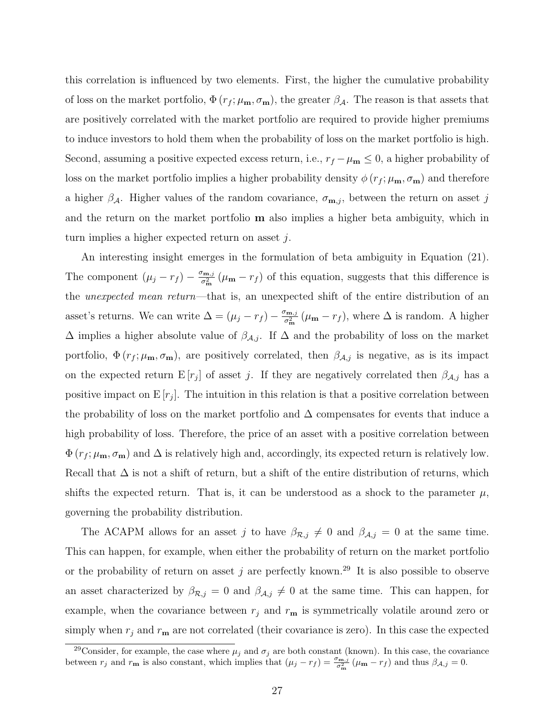this correlation is influenced by two elements. First, the higher the cumulative probability of loss on the market portfolio,  $\Phi(r_f; \mu_m, \sigma_m)$ , the greater  $\beta_A$ . The reason is that assets that are positively correlated with the market portfolio are required to provide higher premiums to induce investors to hold them when the probability of loss on the market portfolio is high. Second, assuming a positive expected excess return, i.e.,  $r_f - \mu_{\mathbf{m}} \leq 0$ , a higher probability of loss on the market portfolio implies a higher probability density  $\phi(r_f; \mu_{\mathbf{m}}, \sigma_{\mathbf{m}})$  and therefore a higher  $\beta_A$ . Higher values of the random covariance,  $\sigma_{\mathbf{m},j}$ , between the return on asset *j* and the return on the market portfolio **m** also implies a higher beta ambiguity, which in turn implies a higher expected return on asset *j*.

An interesting insight emerges in the formulation of beta ambiguity in Equation (21). The component  $(\mu_j - r_f) - \frac{\sigma_{m,j}}{\sigma_m^2}$  $\frac{r_{\mathbf{m},j}}{\sigma_{\mathbf{m}}^2}$  ( $\mu_{\mathbf{m}} - r_f$ ) of this equation, suggests that this difference is the *unexpected mean return*—that is, an unexpected shift of the entire distribution of an asset's returns. We can write  $\Delta = (\mu_j - r_f) - \frac{\sigma_{m,j}}{\sigma_m^2}$  $\frac{r_{\mathbf{m},j}}{\sigma_{\mathbf{m}}^2}$  ( $\mu_{\mathbf{m}} - r_f$ ), where  $\Delta$  is random. A higher  $\Delta$  implies a higher absolute value of  $\beta_{A,j}$ . If  $\Delta$  and the probability of loss on the market portfolio,  $\Phi(r_f; \mu_m, \sigma_m)$ , are positively correlated, then  $\beta_{A,j}$  is negative, as is its impact on the expected return  $E[r_j]$  of asset *j*. If they are negatively correlated then  $\beta_{A,j}$  has a positive impact on  $E[r_j]$ . The intuition in this relation is that a positive correlation between the probability of loss on the market portfolio and  $\Delta$  compensates for events that induce a high probability of loss. Therefore, the price of an asset with a positive correlation between  $\Phi(r_f; \mu_{\mathbf{m}}, \sigma_{\mathbf{m}})$  and  $\Delta$  is relatively high and, accordingly, its expected return is relatively low. Recall that  $\Delta$  is not a shift of return, but a shift of the entire distribution of returns, which shifts the expected return. That is, it can be understood as a shock to the parameter  $\mu$ , governing the probability distribution.

The ACAPM allows for an asset *j* to have  $\beta_{\mathcal{R},j} \neq 0$  and  $\beta_{\mathcal{A},j} = 0$  at the same time. This can happen, for example, when either the probability of return on the market portfolio or the probability of return on asset *j* are perfectly known.<sup>29</sup> It is also possible to observe an asset characterized by  $\beta_{\mathcal{R},j} = 0$  and  $\beta_{\mathcal{A},j} \neq 0$  at the same time. This can happen, for example, when the covariance between  $r_j$  and  $r_m$  is symmetrically volatile around zero or simply when  $r_j$  and  $r_m$  are not correlated (their covariance is zero). In this case the expected

<sup>&</sup>lt;sup>29</sup>Consider, for example, the case where  $\mu_j$  and  $\sigma_j$  are both constant (known). In this case, the covariance between  $r_j$  and  $r_m$  is also constant, which implies that  $(\mu_j - r_f) = \frac{\sigma_{m,j}}{\sigma_m^2} (\mu_m - r_f)$  and thus  $\beta_{\mathcal{A},j} = 0$ .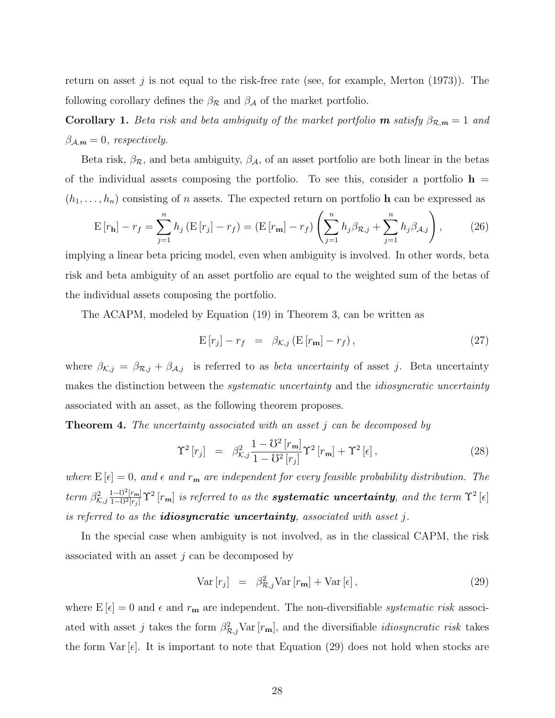return on asset  $j$  is not equal to the risk-free rate (see, for example, Merton  $(1973)$ ). The following corollary defines the  $\beta_{\mathcal{R}}$  and  $\beta_{\mathcal{A}}$  of the market portfolio.

**Corollary 1.** *Beta risk and beta ambiguity of the market portfolio* **m** *satisfy*  $\beta_{\mathcal{R},m} = 1$  *and*  $\beta_{A,m} = 0$ , *respectively.* 

Beta risk,  $\beta_{\mathcal{R}}$ , and beta ambiguity,  $\beta_{\mathcal{A}}$ , of an asset portfolio are both linear in the betas of the individual assets composing the portfolio. To see this, consider a portfolio  $h =$  $(h_1, \ldots, h_n)$  consisting of *n* assets. The expected return on portfolio **h** can be expressed as

$$
E[r_{\mathbf{h}}] - r_f = \sum_{j=1}^{n} h_j (E[r_j] - r_f) = (E[r_{\mathbf{m}}] - r_f) \left( \sum_{j=1}^{n} h_j \beta_{\mathcal{R},j} + \sum_{j=1}^{n} h_j \beta_{\mathcal{A},j} \right),
$$
(26)

implying a linear beta pricing model, even when ambiguity is involved. In other words, beta risk and beta ambiguity of an asset portfolio are equal to the weighted sum of the betas of the individual assets composing the portfolio.

The ACAPM, modeled by Equation (19) in Theorem 3, can be written as

$$
\mathbf{E}\left[r_j\right] - r_f = \beta_{\mathcal{K},j} \left(\mathbf{E}\left[r_{\mathbf{m}}\right] - r_f\right),\tag{27}
$$

where  $\beta_{K,j} = \beta_{R,j} + \beta_{A,j}$  is referred to as *beta uncertainty* of asset *j*. Beta uncertainty makes the distinction between the *systematic uncertainty* and the *idiosyncratic uncertainty* associated with an asset, as the following theorem proposes.

**Theorem 4.** *The uncertainty associated with an asset j can be decomposed by*

$$
\Upsilon^2 \left[ r_j \right] = \beta_{\mathcal{K},j}^2 \frac{1 - \mathcal{V}^2 \left[ r_m \right]}{1 - \mathcal{V}^2 \left[ r_j \right]} \Upsilon^2 \left[ r_m \right] + \Upsilon^2 \left[ \epsilon \right], \tag{28}
$$

*where*  $E[\epsilon] = 0$ *, and*  $\epsilon$  *and*  $r_m$  *are independent for every feasible probability distribution. The*  $term \ \beta_{K,j}^2$  $\frac{1-\mho^2[r_m]}{1-\mho^2[r_j]} \Upsilon^2\left[r_m\right]$  is referred to as the **systematic uncertainty**, and the term  $\Upsilon^2\left[\epsilon\right]$ *is referred to as the idiosyncratic uncertainty, associated with asset j.*

In the special case when ambiguity is not involved, as in the classical CAPM, the risk associated with an asset *j* can be decomposed by

$$
\text{Var}\left[r_j\right] = \beta_{\mathcal{R},j}^2 \text{Var}\left[r_{\mathbf{m}}\right] + \text{Var}\left[\epsilon\right],\tag{29}
$$

where  $E[\epsilon] = 0$  and  $\epsilon$  and  $r_{\bf m}$  are independent. The non-diversifiable *systematic risk* associated with asset *j* takes the form  $\beta_{\mathcal{R},j}^2$ Var  $[r_{\mathbf{m}}]$ , and the diversifiable *idiosyncratic risk* takes the form  $Var[\epsilon]$ . It is important to note that Equation (29) does not hold when stocks are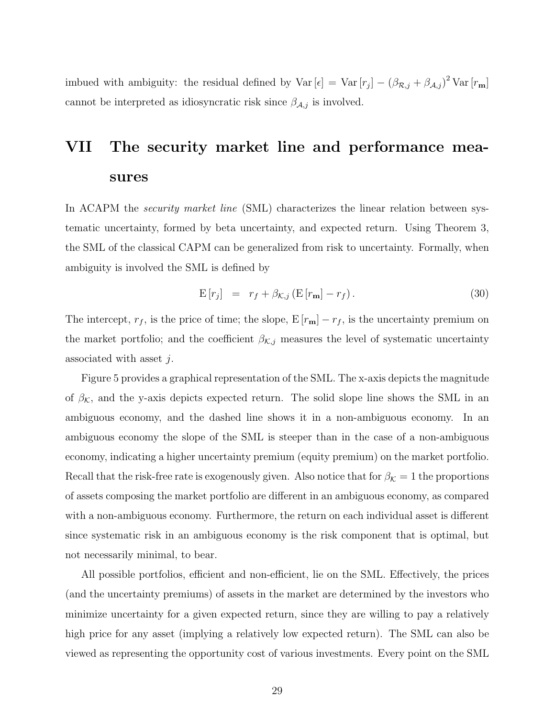imbued with ambiguity: the residual defined by  $\text{Var}[\epsilon] = \text{Var}[r_j] - (\beta_{\mathcal{R},j} + \beta_{\mathcal{A},j})^2 \text{Var}[r_{\mathbf{m}}]$ cannot be interpreted as idiosyncratic risk since  $\beta_{A,j}$  is involved.

# **VII The security market line and performance measures**

In ACAPM the *security market line* (SML) characterizes the linear relation between systematic uncertainty, formed by beta uncertainty, and expected return. Using Theorem 3, the SML of the classical CAPM can be generalized from risk to uncertainty. Formally, when ambiguity is involved the SML is defined by

$$
\mathbf{E}\left[r_j\right] = r_f + \beta_{\mathcal{K},j} \left(\mathbf{E}\left[r_{\mathbf{m}}\right] - r_f\right). \tag{30}
$$

The intercept,  $r_f$ , is the price of time; the slope,  $E[r_m] - r_f$ , is the uncertainty premium on the market portfolio; and the coefficient  $\beta_{K,j}$  measures the level of systematic uncertainty associated with asset *j*.

Figure 5 provides a graphical representation of the SML. The x-axis depicts the magnitude of  $\beta_{\mathcal{K}}$ , and the y-axis depicts expected return. The solid slope line shows the SML in an ambiguous economy, and the dashed line shows it in a non-ambiguous economy. In an ambiguous economy the slope of the SML is steeper than in the case of a non-ambiguous economy, indicating a higher uncertainty premium (equity premium) on the market portfolio. Recall that the risk-free rate is exogenously given. Also notice that for  $\beta_K = 1$  the proportions of assets composing the market portfolio are different in an ambiguous economy, as compared with a non-ambiguous economy. Furthermore, the return on each individual asset is different since systematic risk in an ambiguous economy is the risk component that is optimal, but not necessarily minimal, to bear.

All possible portfolios, efficient and non-efficient, lie on the SML. Effectively, the prices (and the uncertainty premiums) of assets in the market are determined by the investors who minimize uncertainty for a given expected return, since they are willing to pay a relatively high price for any asset (implying a relatively low expected return). The SML can also be viewed as representing the opportunity cost of various investments. Every point on the SML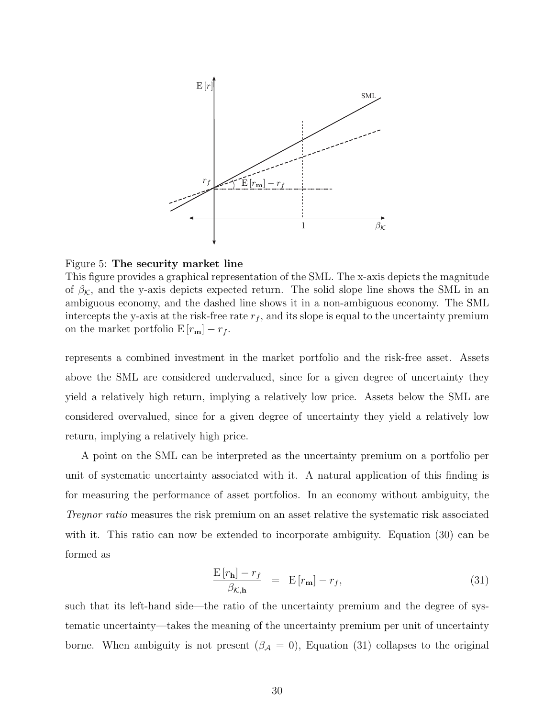

Figure 5: **The security market line**

This figure provides a graphical representation of the SML. The x-axis depicts the magnitude of  $\beta_K$ , and the y-axis depicts expected return. The solid slope line shows the SML in an ambiguous economy, and the dashed line shows it in a non-ambiguous economy. The SML intercepts the y-axis at the risk-free rate  $r_f$ , and its slope is equal to the uncertainty premium on the market portfolio  $E[r_{m}] - r_{f}$ .

represents a combined investment in the market portfolio and the risk-free asset. Assets above the SML are considered undervalued, since for a given degree of uncertainty they yield a relatively high return, implying a relatively low price. Assets below the SML are considered overvalued, since for a given degree of uncertainty they yield a relatively low return, implying a relatively high price.

A point on the SML can be interpreted as the uncertainty premium on a portfolio per unit of systematic uncertainty associated with it. A natural application of this finding is for measuring the performance of asset portfolios. In an economy without ambiguity, the *Treynor ratio* measures the risk premium on an asset relative the systematic risk associated with it. This ratio can now be extended to incorporate ambiguity. Equation (30) can be formed as

$$
\frac{\mathbf{E}\left[r_{\mathbf{h}}\right] - r_{f}}{\beta_{\mathcal{K},\mathbf{h}}} = \mathbf{E}\left[r_{\mathbf{m}}\right] - r_{f},\tag{31}
$$

such that its left-hand side—the ratio of the uncertainty premium and the degree of systematic uncertainty—takes the meaning of the uncertainty premium per unit of uncertainty borne. When ambiguity is not present  $(\beta_{\mathcal{A}} = 0)$ , Equation (31) collapses to the original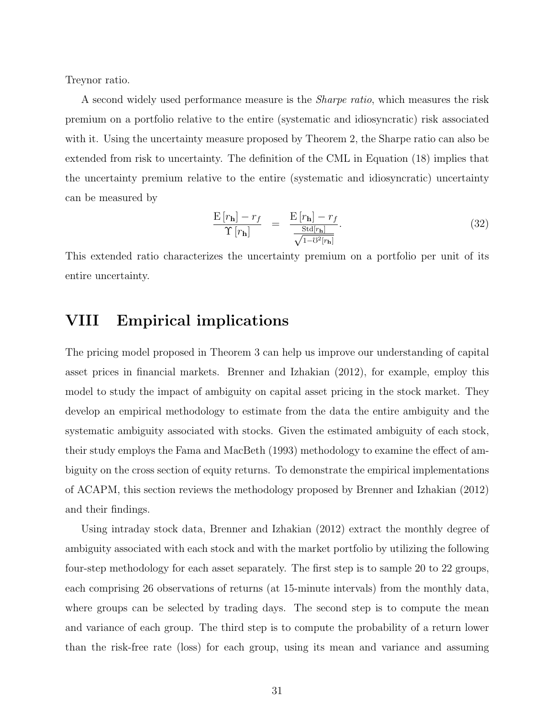Treynor ratio.

A second widely used performance measure is the *Sharpe ratio*, which measures the risk premium on a portfolio relative to the entire (systematic and idiosyncratic) risk associated with it. Using the uncertainty measure proposed by Theorem 2, the Sharpe ratio can also be extended from risk to uncertainty. The definition of the CML in Equation (18) implies that the uncertainty premium relative to the entire (systematic and idiosyncratic) uncertainty can be measured by

$$
\frac{\mathbf{E}\left[r_{\mathbf{h}}\right] - r_{f}}{\Upsilon\left[r_{\mathbf{h}}\right]} = \frac{\mathbf{E}\left[r_{\mathbf{h}}\right] - r_{f}}{\frac{\text{Std}\left[r_{\mathbf{h}}\right]}{\sqrt{1 - \mathcal{V}^{2}\left[r_{\mathbf{h}}\right]}}}.\tag{32}
$$

This extended ratio characterizes the uncertainty premium on a portfolio per unit of its entire uncertainty.

#### **VIII Empirical implications**

The pricing model proposed in Theorem 3 can help us improve our understanding of capital asset prices in financial markets. Brenner and Izhakian (2012), for example, employ this model to study the impact of ambiguity on capital asset pricing in the stock market. They develop an empirical methodology to estimate from the data the entire ambiguity and the systematic ambiguity associated with stocks. Given the estimated ambiguity of each stock, their study employs the Fama and MacBeth (1993) methodology to examine the effect of ambiguity on the cross section of equity returns. To demonstrate the empirical implementations of ACAPM, this section reviews the methodology proposed by Brenner and Izhakian (2012) and their findings.

Using intraday stock data, Brenner and Izhakian (2012) extract the monthly degree of ambiguity associated with each stock and with the market portfolio by utilizing the following four-step methodology for each asset separately. The first step is to sample 20 to 22 groups, each comprising 26 observations of returns (at 15-minute intervals) from the monthly data, where groups can be selected by trading days. The second step is to compute the mean and variance of each group. The third step is to compute the probability of a return lower than the risk-free rate (loss) for each group, using its mean and variance and assuming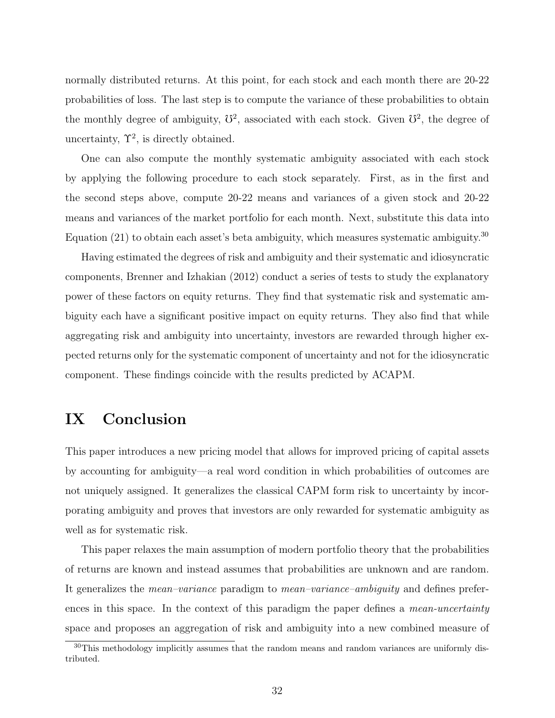normally distributed returns. At this point, for each stock and each month there are 20-22 probabilities of loss. The last step is to compute the variance of these probabilities to obtain the monthly degree of ambiguity,  $\mathcal{V}^2$ , associated with each stock. Given  $\mathcal{V}^2$ , the degree of uncertainty,  $\Upsilon^2$ , is directly obtained.

One can also compute the monthly systematic ambiguity associated with each stock by applying the following procedure to each stock separately. First, as in the first and the second steps above, compute 20-22 means and variances of a given stock and 20-22 means and variances of the market portfolio for each month. Next, substitute this data into Equation  $(21)$  to obtain each asset's beta ambiguity, which measures systematic ambiguity.<sup>30</sup>

Having estimated the degrees of risk and ambiguity and their systematic and idiosyncratic components, Brenner and Izhakian (2012) conduct a series of tests to study the explanatory power of these factors on equity returns. They find that systematic risk and systematic ambiguity each have a significant positive impact on equity returns. They also find that while aggregating risk and ambiguity into uncertainty, investors are rewarded through higher expected returns only for the systematic component of uncertainty and not for the idiosyncratic component. These findings coincide with the results predicted by ACAPM.

#### **IX Conclusion**

This paper introduces a new pricing model that allows for improved pricing of capital assets by accounting for ambiguity—a real word condition in which probabilities of outcomes are not uniquely assigned. It generalizes the classical CAPM form risk to uncertainty by incorporating ambiguity and proves that investors are only rewarded for systematic ambiguity as well as for systematic risk.

This paper relaxes the main assumption of modern portfolio theory that the probabilities of returns are known and instead assumes that probabilities are unknown and are random. It generalizes the *mean–variance* paradigm to *mean–variance–ambiguity* and defines preferences in this space. In the context of this paradigm the paper defines a *mean-uncertainty* space and proposes an aggregation of risk and ambiguity into a new combined measure of

<sup>&</sup>lt;sup>30</sup>This methodology implicitly assumes that the random means and random variances are uniformly distributed.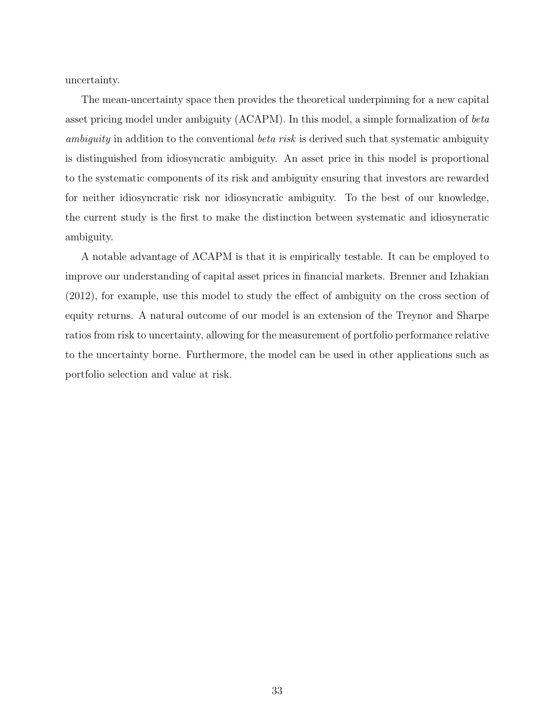uncertainty.

The mean-uncertainty space then provides the theoretical underpinning for a new capital asset pricing model under ambiguity (ACAPM). In this model, a simple formalization of *beta ambiguity* in addition to the conventional *beta risk* is derived such that systematic ambiguity is distinguished from idiosyncratic ambiguity. An asset price in this model is proportional to the systematic components of its risk and ambiguity ensuring that investors are rewarded for neither idiosyncratic risk nor idiosyncratic ambiguity. To the best of our knowledge, the current study is the first to make the distinction between systematic and idiosyncratic ambiguity.

A notable advantage of ACAPM is that it is empirically testable. It can be employed to improve our understanding of capital asset prices in financial markets. Brenner and Izhakian (2012), for example, use this model to study the effect of ambiguity on the cross section of equity returns. A natural outcome of our model is an extension of the Treynor and Sharpe ratios from risk to uncertainty, allowing for the measurement of portfolio performance relative to the uncertainty borne. Furthermore, the model can be used in other applications such as portfolio selection and value at risk.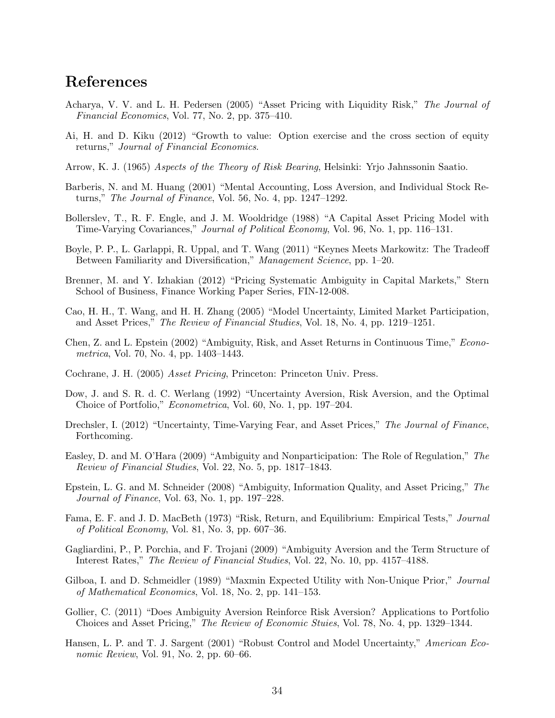### **References**

- Acharya, V. V. and L. H. Pedersen (2005) "Asset Pricing with Liquidity Risk," *The Journal of Financial Economics*, Vol. 77, No. 2, pp. 375–410.
- Ai, H. and D. Kiku (2012) "Growth to value: Option exercise and the cross section of equity returns," *Journal of Financial Economics*.
- Arrow, K. J. (1965) *Aspects of the Theory of Risk Bearing*, Helsinki: Yrjo Jahnssonin Saatio.
- Barberis, N. and M. Huang (2001) "Mental Accounting, Loss Aversion, and Individual Stock Returns," *The Journal of Finance*, Vol. 56, No. 4, pp. 1247–1292.
- Bollerslev, T., R. F. Engle, and J. M. Wooldridge (1988) "A Capital Asset Pricing Model with Time-Varying Covariances," *Journal of Political Economy*, Vol. 96, No. 1, pp. 116–131.
- Boyle, P. P., L. Garlappi, R. Uppal, and T. Wang (2011) "Keynes Meets Markowitz: The Tradeoff Between Familiarity and Diversification," *Management Science*, pp. 1–20.
- Brenner, M. and Y. Izhakian (2012) "Pricing Systematic Ambiguity in Capital Markets," Stern School of Business, Finance Working Paper Series, FIN-12-008.
- Cao, H. H., T. Wang, and H. H. Zhang (2005) "Model Uncertainty, Limited Market Participation, and Asset Prices," *The Review of Financial Studies*, Vol. 18, No. 4, pp. 1219–1251.
- Chen, Z. and L. Epstein (2002) "Ambiguity, Risk, and Asset Returns in Continuous Time," *Econometrica*, Vol. 70, No. 4, pp. 1403–1443.
- Cochrane, J. H. (2005) *Asset Pricing*, Princeton: Princeton Univ. Press.
- Dow, J. and S. R. d. C. Werlang (1992) "Uncertainty Aversion, Risk Aversion, and the Optimal Choice of Portfolio," *Econometrica*, Vol. 60, No. 1, pp. 197–204.
- Drechsler, I. (2012) "Uncertainty, Time-Varying Fear, and Asset Prices," *The Journal of Finance*, Forthcoming.
- Easley, D. and M. O'Hara (2009) "Ambiguity and Nonparticipation: The Role of Regulation," *The Review of Financial Studies*, Vol. 22, No. 5, pp. 1817–1843.
- Epstein, L. G. and M. Schneider (2008) "Ambiguity, Information Quality, and Asset Pricing," *The Journal of Finance*, Vol. 63, No. 1, pp. 197–228.
- Fama, E. F. and J. D. MacBeth (1973) "Risk, Return, and Equilibrium: Empirical Tests," *Journal of Political Economy*, Vol. 81, No. 3, pp. 607–36.
- Gagliardini, P., P. Porchia, and F. Trojani (2009) "Ambiguity Aversion and the Term Structure of Interest Rates," *The Review of Financial Studies*, Vol. 22, No. 10, pp. 4157–4188.
- Gilboa, I. and D. Schmeidler (1989) "Maxmin Expected Utility with Non-Unique Prior," *Journal of Mathematical Economics*, Vol. 18, No. 2, pp. 141–153.
- Gollier, C. (2011) "Does Ambiguity Aversion Reinforce Risk Aversion? Applications to Portfolio Choices and Asset Pricing," *The Review of Economic Stuies*, Vol. 78, No. 4, pp. 1329–1344.
- Hansen, L. P. and T. J. Sargent (2001) "Robust Control and Model Uncertainty," *American Economic Review*, Vol. 91, No. 2, pp. 60–66.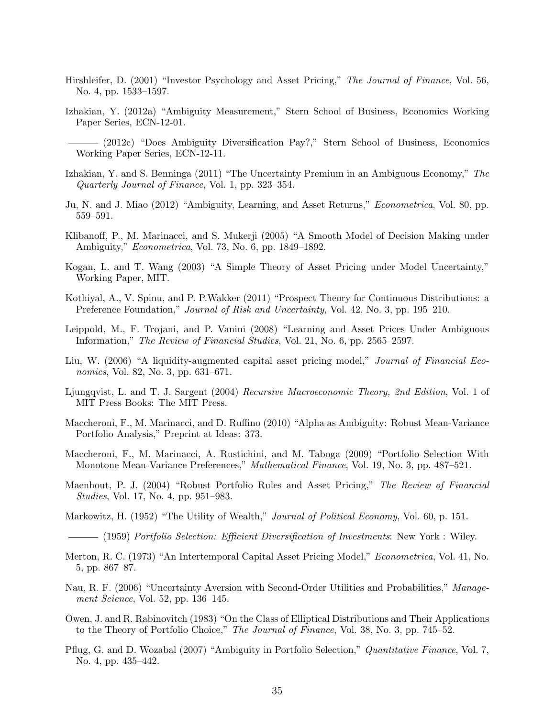- Hirshleifer, D. (2001) "Investor Psychology and Asset Pricing," *The Journal of Finance*, Vol. 56, No. 4, pp. 1533–1597.
- Izhakian, Y. (2012a) "Ambiguity Measurement," Stern School of Business, Economics Working Paper Series, ECN-12-01.
	- (2012c) "Does Ambiguity Diversification Pay?," Stern School of Business, Economics Working Paper Series, ECN-12-11.
- Izhakian, Y. and S. Benninga (2011) "The Uncertainty Premium in an Ambiguous Economy," *The Quarterly Journal of Finance*, Vol. 1, pp. 323–354.
- Ju, N. and J. Miao (2012) "Ambiguity, Learning, and Asset Returns," *Econometrica*, Vol. 80, pp. 559–591.
- Klibanoff, P., M. Marinacci, and S. Mukerji (2005) "A Smooth Model of Decision Making under Ambiguity," *Econometrica*, Vol. 73, No. 6, pp. 1849–1892.
- Kogan, L. and T. Wang (2003) "A Simple Theory of Asset Pricing under Model Uncertainty," Working Paper, MIT.
- Kothiyal, A., V. Spinu, and P. P.Wakker (2011) "Prospect Theory for Continuous Distributions: a Preference Foundation," *Journal of Risk and Uncertainty*, Vol. 42, No. 3, pp. 195–210.
- Leippold, M., F. Trojani, and P. Vanini (2008) "Learning and Asset Prices Under Ambiguous Information," *The Review of Financial Studies*, Vol. 21, No. 6, pp. 2565–2597.
- Liu, W. (2006) "A liquidity-augmented capital asset pricing model," *Journal of Financial Economics*, Vol. 82, No. 3, pp. 631–671.
- Ljungqvist, L. and T. J. Sargent (2004) *Recursive Macroeconomic Theory, 2nd Edition*, Vol. 1 of MIT Press Books: The MIT Press.
- Maccheroni, F., M. Marinacci, and D. Ruffino (2010) "Alpha as Ambiguity: Robust Mean-Variance Portfolio Analysis," Preprint at Ideas: 373.
- Maccheroni, F., M. Marinacci, A. Rustichini, and M. Taboga (2009) "Portfolio Selection With Monotone Mean-Variance Preferences," *Mathematical Finance*, Vol. 19, No. 3, pp. 487–521.
- Maenhout, P. J. (2004) "Robust Portfolio Rules and Asset Pricing," *The Review of Financial Studies*, Vol. 17, No. 4, pp. 951–983.
- Markowitz, H. (1952) "The Utility of Wealth," *Journal of Political Economy*, Vol. 60, p. 151.
- (1959) *Portfolio Selection: Efficient Diversification of Investments*: New York : Wiley.
- Merton, R. C. (1973) "An Intertemporal Capital Asset Pricing Model," *Econometrica*, Vol. 41, No. 5, pp. 867–87.
- Nau, R. F. (2006) "Uncertainty Aversion with Second-Order Utilities and Probabilities," *Management Science*, Vol. 52, pp. 136–145.
- Owen, J. and R. Rabinovitch (1983) "On the Class of Elliptical Distributions and Their Applications to the Theory of Portfolio Choice," *The Journal of Finance*, Vol. 38, No. 3, pp. 745–52.
- Pflug, G. and D. Wozabal (2007) "Ambiguity in Portfolio Selection," *Quantitative Finance*, Vol. 7, No. 4, pp. 435–442.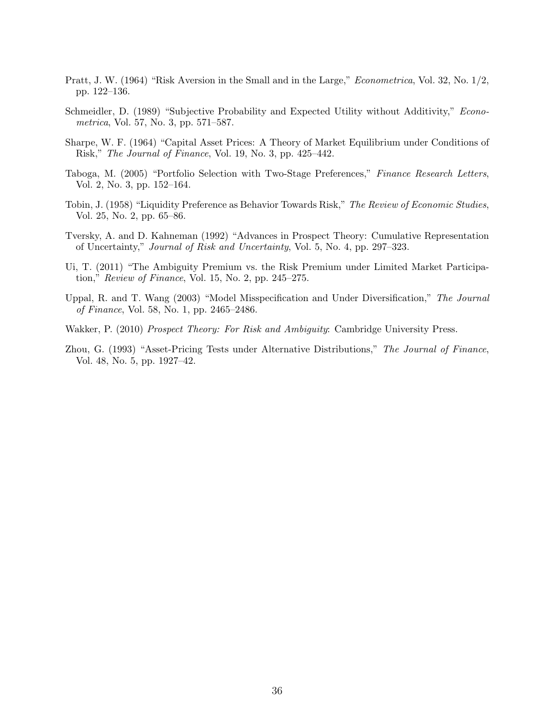- Pratt, J. W. (1964) "Risk Aversion in the Small and in the Large," *Econometrica*, Vol. 32, No. 1/2, pp. 122–136.
- Schmeidler, D. (1989) "Subjective Probability and Expected Utility without Additivity," *Econometrica*, Vol. 57, No. 3, pp. 571–587.
- Sharpe, W. F. (1964) "Capital Asset Prices: A Theory of Market Equilibrium under Conditions of Risk," *The Journal of Finance*, Vol. 19, No. 3, pp. 425–442.
- Taboga, M. (2005) "Portfolio Selection with Two-Stage Preferences," *Finance Research Letters*, Vol. 2, No. 3, pp. 152–164.
- Tobin, J. (1958) "Liquidity Preference as Behavior Towards Risk," *The Review of Economic Studies*, Vol. 25, No. 2, pp. 65–86.
- Tversky, A. and D. Kahneman (1992) "Advances in Prospect Theory: Cumulative Representation of Uncertainty," *Journal of Risk and Uncertainty*, Vol. 5, No. 4, pp. 297–323.
- Ui, T. (2011) "The Ambiguity Premium vs. the Risk Premium under Limited Market Participation," *Review of Finance*, Vol. 15, No. 2, pp. 245–275.
- Uppal, R. and T. Wang (2003) "Model Misspecification and Under Diversification," *The Journal of Finance*, Vol. 58, No. 1, pp. 2465–2486.
- Wakker, P. (2010) *Prospect Theory: For Risk and Ambiguity*: Cambridge University Press.
- Zhou, G. (1993) "Asset-Pricing Tests under Alternative Distributions," *The Journal of Finance*, Vol. 48, No. 5, pp. 1927–42.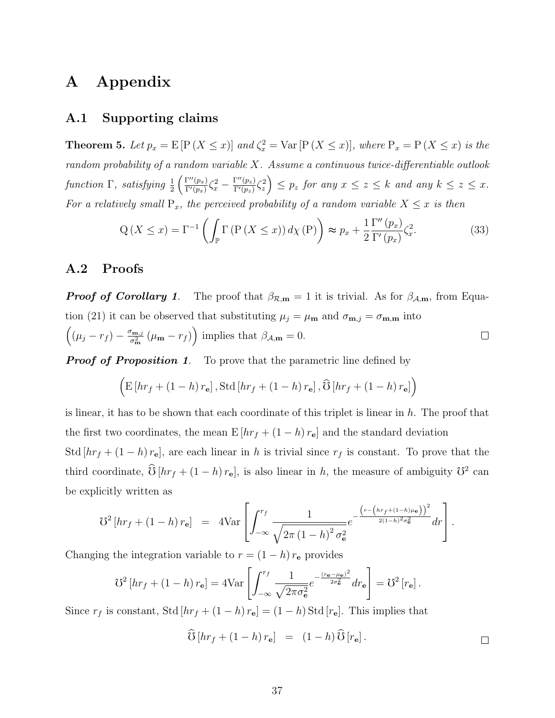### **A Appendix**

#### **A.1 Supporting claims**

**Theorem 5.** Let  $p_x = E[P(X \leq x)]$  and  $\zeta_x^2 = \text{Var}[P(X \leq x)]$ , where  $P_x = P(X \leq x)$  is the *random probability of a random variable X. Assume a continuous twice-differentiable outlook*  $function \Gamma$ *, satisfying*  $\frac{1}{2} \left( \frac{\Gamma''(p_x)}{\Gamma'(p_x)} \right)$  $\frac{\Gamma''(p_x)}{\Gamma'(p_x)}\zeta_x^2-\frac{\Gamma''(p_z)}{\Gamma'(p_z)}$  $\left[\frac{\Gamma''(p_z)}{\Gamma'(p_z)}\zeta_z^2\right] \leq p_z$  for any  $x \leq z \leq k$  and any  $k \leq z \leq x$ . *For a relatively small*  $P_x$ *, the perceived probability of a random variable*  $X \leq x$  *is then* 

$$
Q\left(X \le x\right) = \Gamma^{-1}\left(\int_{\mathbb{P}} \Gamma\left(P\left(X \le x\right)\right) d\chi\left(P\right)\right) \approx p_x + \frac{1}{2} \frac{\Gamma''\left(p_x\right)}{\Gamma'\left(p_x\right)} \zeta_x^2. \tag{33}
$$

#### **A.2 Proofs**

*Proof of Corollary 1.* The proof that  $\beta_{\mathcal{R},m} = 1$  it is trivial. As for  $\beta_{\mathcal{A},m}$ , from Equation (21) it can be observed that substituting  $\mu_j = \mu_{\mathbf{m}}$  and  $\sigma_{\mathbf{m},j} = \sigma_{\mathbf{m},\mathbf{m}}$  into  $\left((\mu_j - r_f) - \frac{\sigma_{\mathbf{m},j}}{\sigma_{\mathbf{m}}^2}\right)$  $\left(\mu_{\mathbf{m}} - r_f\right)$  implies that  $\beta_{\mathcal{A},\mathbf{m}} = 0$ .  $\Box$ 

*Proof of Proposition 1.* To prove that the parametric line defined by

$$
\left(\mathrm{E}\left[\hbar r_f + \left(1-h\right)r_{\mathbf{e}}\right], \mathrm{Std}\left[\hbar r_f + \left(1-h\right)r_{\mathbf{e}}\right], \widehat{\mathrm{O}}\left[\hbar r_f + \left(1-h\right)r_{\mathbf{e}}\right]\right)
$$

is linear, it has to be shown that each coordinate of this triplet is linear in *h*. The proof that the first two coordinates, the mean  $E[hr_f + (1 - h) r_e]$  and the standard deviation Std  $[hr_f + (1 - h) r_e]$ , are each linear in *h* is trivial since  $r_f$  is constant. To prove that the third coordinate,  $\hat{\mathbf{U}}[hr_f + (1-h)r_e]$ , is also linear in *h*, the measure of ambiguity  $\mathbf{U}^2$  can be explicitly written as

$$
\mathcal{U}^2 \left[ hr_f + (1-h) r_{\mathbf{e}} \right] = 4 \text{Var} \left[ \int_{-\infty}^{r_f} \frac{1}{\sqrt{2\pi (1-h)^2 \sigma_{\mathbf{e}}^2}} e^{-\frac{\left( r - \left( hr_f + (1-h)\mu_{\mathbf{e}} \right) \right)^2}{2(1-h)^2 \sigma_{\mathbf{e}}^2}} dr \right].
$$

Changing the integration variable to  $r = (1 - h) r_e$  provides

$$
\mathcal{U}^2\left[hr_f + (1-h)\,r_{\mathbf{e}}\right] = 4\text{Var}\left[\int_{-\infty}^{r_f} \frac{1}{\sqrt{2\pi\sigma_{\mathbf{e}}^2}} e^{-\frac{(r_{\mathbf{e}}-\mu_{\mathbf{e}})^2}{2\sigma_{\mathbf{e}}^2}} dr_{\mathbf{e}}\right] = \mathcal{U}^2\left[r_{\mathbf{e}}\right].
$$

Since  $r_f$  is constant, Std  $[hr_f + (1 - h) r_e] = (1 - h)$  Std  $[r_e]$ . This implies that

$$
\widehat{\mathcal{O}}\left[\operatorname{hr}_{f} + (1-h)\,r_{\mathbf{e}}\right] = (1-h)\,\widehat{\mathcal{O}}\left[r_{\mathbf{e}}\right].\qquad\qquad\Box
$$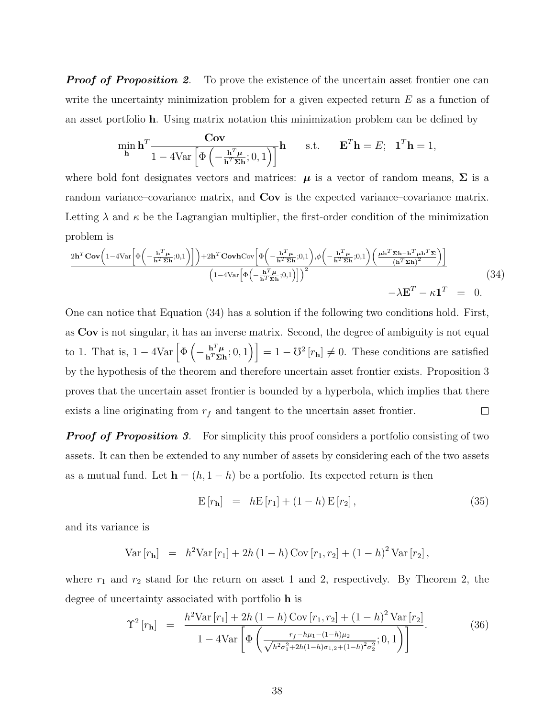*Proof of Proposition 2.* To prove the existence of the uncertain asset frontier one can write the uncertainty minimization problem for a given expected return *E* as a function of an asset portfolio **h**. Using matrix notation this minimization problem can be defined by

$$
\min_{\mathbf{h}} \mathbf{h}^{T} \frac{\mathbf{Cov}}{1 - 4\text{Var}\left[\Phi\left(-\frac{\mathbf{h}^{T}\boldsymbol{\mu}}{\mathbf{h}^{T}\boldsymbol{\Sigma}\mathbf{h}}; 0, 1\right)\right]} \mathbf{h} \quad \text{s.t.} \quad \mathbf{E}^{T}\mathbf{h} = E; \quad \mathbf{1}^{T}\mathbf{h} = 1,
$$

where bold font designates vectors and matrices:  $\mu$  is a vector of random means,  $\Sigma$  is a random variance–covariance matrix, and **Cov** is the expected variance–covariance matrix. Letting  $\lambda$  and  $\kappa$  be the Lagrangian multiplier, the first-order condition of the minimization problem is

$$
\frac{2\mathbf{h}^T \mathbf{Cov} \left(1-4\text{Var}\left[\Phi\left(-\frac{\mathbf{h}^T \boldsymbol{\mu}}{\mathbf{h}^T \boldsymbol{\Sigma} \mathbf{h}};0,1\right)\right]\right)+2\mathbf{h}^T \mathbf{Cov} \mathbf{Cov} \left[\Phi\left(-\frac{\mathbf{h}^T \boldsymbol{\mu}}{\mathbf{h}^T \boldsymbol{\Sigma} \mathbf{h}};0,1\right),\phi\left(-\frac{\mathbf{h}^T \boldsymbol{\mu}}{\mathbf{h}^T \boldsymbol{\Sigma} \mathbf{h}};0,1\right)\left(\frac{\boldsymbol{\mu} \mathbf{h}^T \boldsymbol{\Sigma} \mathbf{h} - \mathbf{h}^T \boldsymbol{\mu} \mathbf{h}^T \boldsymbol{\Sigma}}{\left(\mathbf{h}^T \boldsymbol{\Sigma} \mathbf{h}\right)^2}\right)\right]}{\left(1-4\text{Var}\left[\Phi\left(-\frac{\mathbf{h}^T \boldsymbol{\mu}}{\mathbf{h}^T \boldsymbol{\Sigma} \mathbf{h}};0,1\right)\right]\right)^2} - \lambda \mathbf{E}^T - \kappa \mathbf{1}^T = 0. \tag{34}
$$

One can notice that Equation (34) has a solution if the following two conditions hold. First, as **Cov** is not singular, it has an inverse matrix. Second, the degree of ambiguity is not equal to 1. That is,  $1 - 4\text{Var}\left[\Phi\left(\frac{1}{2}\right)\right]$  $-\frac{\mathbf{h}^T \boldsymbol{\mu}}{\mathbf{h}^T \boldsymbol{\Sigma} \mathbf{I}}$  $\left[\frac{\mathbf{h}^T \boldsymbol{\mu}}{\mathbf{h}^T \boldsymbol{\Sigma} \mathbf{h}}; 0, 1\right]$  = 1 *−*  $\mathcal{V}^2[r_{\mathbf{h}}] \neq 0$ . These conditions are satisfied by the hypothesis of the theorem and therefore uncertain asset frontier exists. Proposition 3 proves that the uncertain asset frontier is bounded by a hyperbola, which implies that there  $\Box$ exists a line originating from  $r_f$  and tangent to the uncertain asset frontier.

*Proof of Proposition 3.* For simplicity this proof considers a portfolio consisting of two assets. It can then be extended to any number of assets by considering each of the two assets as a mutual fund. Let  $\mathbf{h} = (h, 1 - h)$  be a portfolio. Its expected return is then

$$
E[r_{h}] = hE[r_{1}] + (1 - h)E[r_{2}], \qquad (35)
$$

and its variance is

Var 
$$
[r_{\mathbf{h}}]
$$
 =  $h^2$ Var  $[r_1]$  + 2h  $(1 - h)$ Cov  $[r_1, r_2]$  +  $(1 - h)^2$ Var  $[r_2]$ ,

where  $r_1$  and  $r_2$  stand for the return on asset 1 and 2, respectively. By Theorem 2, the degree of uncertainty associated with portfolio **h** is

$$
\Upsilon^{2}\left[r_{\mathbf{h}}\right] = \frac{h^{2} \text{Var}\left[r_{1}\right] + 2h\left(1-h\right) \text{Cov}\left[r_{1}, r_{2}\right] + \left(1-h\right)^{2} \text{Var}\left[r_{2}\right]}{1 - 4 \text{Var}\left[\Phi\left(\frac{r_{f} - h\mu_{1} - (1-h)\mu_{2}}{\sqrt{h^{2} \sigma_{1}^{2} + 2h(1-h)\sigma_{1,2} + (1-h)^{2} \sigma_{2}^{2}}}; 0, 1\right)\right]}.
$$
\n(36)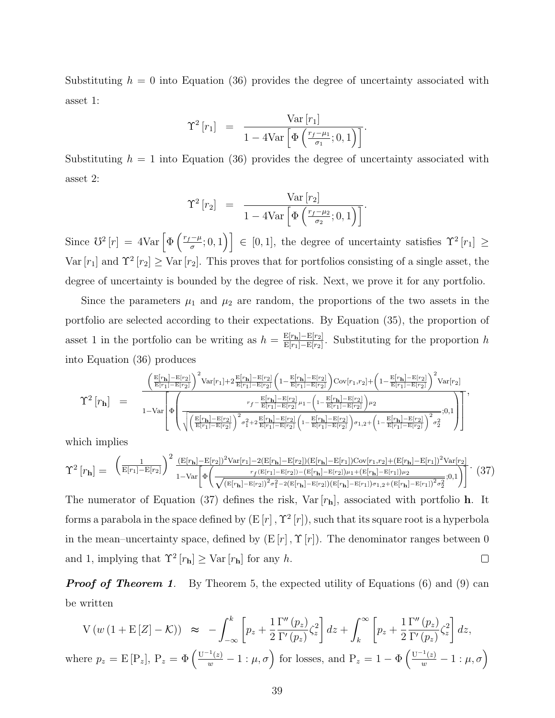Substituting  $h = 0$  into Equation (36) provides the degree of uncertainty associated with asset 1:

$$
\Upsilon^{2}[r_{1}] = \frac{\text{Var}[r_{1}]}{1 - 4\text{Var}\left[\Phi\left(\frac{r_{f} - \mu_{1}}{\sigma_{1}}; 0, 1\right)\right]}.
$$

Substituting  $h = 1$  into Equation (36) provides the degree of uncertainty associated with asset 2:

$$
\Upsilon^2\left[r_2\right] = \frac{\text{Var}\left[r_2\right]}{1 - 4\text{Var}\left[\Phi\left(\frac{r_f - \mu_2}{\sigma_2}; 0, 1\right)\right]}.
$$

Since  $\mathcal{O}^2[r] = 4\text{Var}\left[\Phi\left(\frac{r_f-\mu}{\sigma};0,1\right)\right] \in [0,1],$  the degree of uncertainty satisfies  $\Upsilon^2[r_1] \ge$ Var  $[r_1]$  and  $\Upsilon^2$   $[r_2] \geq \text{Var}[r_2]$ . This proves that for portfolios consisting of a single asset, the degree of uncertainty is bounded by the degree of risk. Next, we prove it for any portfolio.

Since the parameters  $\mu_1$  and  $\mu_2$  are random, the proportions of the two assets in the portfolio are selected according to their expectations. By Equation (35), the proportion of asset 1 in the portfolio can be writing as  $h = \frac{E[r_h] - E[r_2]}{E[r_h] - E[r_0]}$ E[*r*1]*−*E[*r*2] . Substituting for the proportion *h* into Equation (36) produces

$$
\Upsilon^2\left[r_{\mathbf{h}}\right] = \frac{\left(\frac{E[r_{\mathbf{h}}] - E[r_{2}]}{E[r_{1}] - E[r_{2}]}\right)^2 Var[r_{1}] + 2\frac{E[r_{\mathbf{h}}] - E[r_{2}]}{E[r_{1}] - E[r_{2}]}\left(1 - \frac{E[r_{\mathbf{h}}] - E[r_{2}]}{E[r_{1}] - E[r_{2}]}\right)Cov[r_{1},r_{2}] + \left(1 - \frac{E[r_{\mathbf{h}}] - E[r_{2}]}{E[r_{1}] - E[r_{2}]}\right)^2 Var[r_{2}] }{r_{f} - \frac{E[r_{\mathbf{h}}] - E[r_{2}]}{E[r_{1}] - E[r_{2}]}\mu_1 - \left(1 - \frac{E[r_{\mathbf{h}}] - E[r_{2}]}{E[r_{1}] - E[r_{2}]}\right)\mu_2}{r_{f} - \frac{E[r_{\mathbf{h}}] - E[r_{2}]}{E[r_{1}] - E[r_{2}]}\mu_1 - \left(1 - \frac{E[r_{\mathbf{h}}] - E[r_{2}]}{E[r_{1}] - E[r_{2}]}\right)\mu_2}}{r_{f} - \frac{E[r_{\mathbf{h}}] - E[r_{2}]}{E[r_{1}] - E[r_{2}]}\mu_1 - \left(1 - \frac{E[r_{\mathbf{h}}] - E[r_{2}]}{E[r_{1}] - E[r_{2}]}\right)\mu_2}{r_{f} - \frac{E[r_{\mathbf{h}}] - E[r_{2}]}{E[r_{1}] - E[r_{2}]}\mu_1 - \left(1 - \frac{E[r_{\mathbf{h}}] - E[r_{2}]}{E[r_{1}] - E[r_{2}]}\right)^2},
$$

which implies

$$
\Upsilon^{2}\left[r_{\mathbf{h}}\right] = \left(\frac{1}{E[r_{1}]-E[r_{2}]}\right)^{2}\frac{(E[r_{\mathbf{h}}]-E[r_{2}])^{2}Var[r_{1}]-2(E[r_{\mathbf{h}}]-E[r_{2}])(E[r_{\mathbf{h}}]-E[r_{1}])Cov[r_{1},r_{2}]+(E[r_{\mathbf{h}}]-E[r_{1}])^{2}Var[r_{2}]}{1-Var\left[\Phi\left(\frac{r_{f}(E[r_{1}]-E[r_{2}])-[E[r_{\mathbf{h}}]-E[r_{2}])\mu_{1}+E[r_{\mathbf{h}}]-E[r_{1}])\mu_{2}}{\sqrt{(E[r_{\mathbf{h}}]-E[r_{2}])^{2}\sigma_{1}^{2}-2(E[r_{\mathbf{h}}]-E[r_{2}])(E[r_{\mathbf{h}}]-E[r_{1}])\sigma_{1,2}+(E[r_{\mathbf{h}}]-E[r_{1}])^{2}\sigma_{2}^{2}}};0,1\right)}\right]
$$
(37)

The numerator of Equation (37) defines the risk, Var [*r***h**], associated with portfolio **h**. It forms a parabola in the space defined by  $(E[r], \Upsilon^2[r])$ , such that its square root is a hyperbola in the mean–uncertainty space, defined by  $(E[r], \Upsilon[r])$ . The denominator ranges between 0 and 1, implying that  $\Upsilon^2[r_h] \geq \text{Var}[r_h]$  for any *h*.  $\Box$ 

*Proof of Theorem 1.* By Theorem 5, the expected utility of Equations (6) and (9) can be written

$$
V(w (1 + E[Z] - K)) \approx -\int_{-\infty}^{k} \left[ p_z + \frac{1}{2} \frac{\Gamma''(p_z)}{\Gamma'(p_z)} \zeta_z^2 \right] dz + \int_{k}^{\infty} \left[ p_z + \frac{1}{2} \frac{\Gamma''(p_z)}{\Gamma'(p_z)} \zeta_z^2 \right] dz,
$$
  
where  $p_z = E[P_z]$ ,  $P_z = \Phi \left( \frac{U^{-1}(z)}{w} - 1 : \mu, \sigma \right)$  for losses, and  $P_z = 1 - \Phi \left( \frac{U^{-1}(z)}{w} - 1 : \mu, \sigma \right)$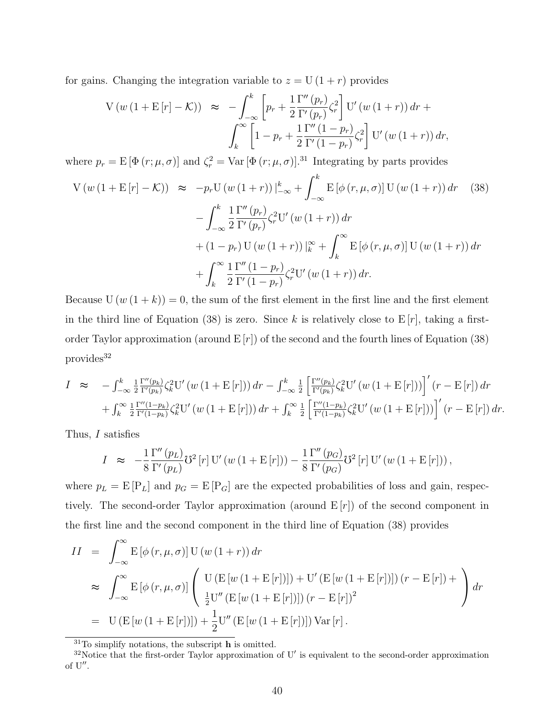for gains. Changing the integration variable to  $z = U(1+r)$  provides

$$
V(w (1 + E[r] - K)) \approx -\int_{-\infty}^{k} \left[ p_r + \frac{1}{2} \frac{\Gamma''(p_r)}{\Gamma'(p_r)} \zeta_r^2 \right] U'(w (1 + r)) dr + \int_{k}^{\infty} \left[ 1 - p_r + \frac{1}{2} \frac{\Gamma''(1 - p_r)}{\Gamma'(1 - p_r)} \zeta_r^2 \right] U'(w (1 + r)) dr,
$$

where  $p_r = E[\Phi(r; \mu, \sigma)]$  and  $\zeta_r^2 = \text{Var}[\Phi(r; \mu, \sigma)]$ .<sup>31</sup> Integrating by parts provides

$$
V(w (1 + E[r] - K)) \approx -p_r U(w (1 + r))|_{-\infty}^k + \int_{-\infty}^k E[\phi(r, \mu, \sigma)] U(w (1 + r)) dr \qquad (38)
$$
  

$$
- \int_{-\infty}^k \frac{1}{2} \frac{\Gamma''(p_r)}{\Gamma'(p_r)} \zeta_r^2 U'(w (1 + r)) dr
$$
  

$$
+ (1 - p_r) U(w (1 + r))|_{k}^{\infty} + \int_{k}^{\infty} E[\phi(r, \mu, \sigma)] U(w (1 + r)) dr
$$
  

$$
+ \int_{k}^{\infty} \frac{1}{2} \frac{\Gamma''(1 - p_r)}{\Gamma'(1 - p_r)} \zeta_r^2 U'(w (1 + r)) dr.
$$
 (39)

Because  $U(w(1+k)) = 0$ , the sum of the first element in the first line and the first element in the third line of Equation (38) is zero. Since k is relatively close to  $E[r]$ , taking a firstorder Taylor approximation (around  $E[r]$ ) of the second and the fourth lines of Equation (38) provides<sup>32</sup>

$$
I \approx -\int_{-\infty}^{k} \frac{1}{2} \frac{\Gamma''(p_k)}{\Gamma'(p_k)} \zeta_k^2 U'(w(1 + E[r])) dr - \int_{-\infty}^{k} \frac{1}{2} \left[ \frac{\Gamma''(p_k)}{\Gamma'(p_k)} \zeta_k^2 U'(w(1 + E[r])) \right]'(r - E[r]) dr + \int_{k}^{\infty} \frac{1}{2} \frac{\Gamma''(1 - p_k)}{\Gamma'(1 - p_k)} \zeta_k^2 U'(w(1 + E[r])) dr + \int_{k}^{\infty} \frac{1}{2} \left[ \frac{\Gamma''(1 - p_k)}{\Gamma'(1 - p_k)} \zeta_k^2 U'(w(1 + E[r])) \right]'(r - E[r]) dr.
$$

Thus, *I* satisfies

$$
I \approx -\frac{1}{8} \frac{\Gamma''(p_L)}{\Gamma'(p_L)} \mathcal{V}^2[r] \mathcal{U}'(w(1 + \mathcal{E}[r])) - \frac{1}{8} \frac{\Gamma''(p_G)}{\Gamma'(p_G)} \mathcal{V}^2[r] \mathcal{U}'(w(1 + \mathcal{E}[r])) ,
$$

where  $p_L = E[P_L]$  and  $p_G = E[P_G]$  are the expected probabilities of loss and gain, respectively. The second-order Taylor approximation (around E [*r*]) of the second component in the first line and the second component in the third line of Equation (38) provides

$$
II = \int_{-\infty}^{\infty} E[\phi(r, \mu, \sigma)] U(w(1+r)) dr
$$
  
\n
$$
\approx \int_{-\infty}^{\infty} E[\phi(r, \mu, \sigma)] \left( \frac{U(E[w(1 + E[r]]]) + U'(E[w(1 + E[r]]]) (r - E[r]) + \frac{1}{2} U''(E[w(1 + E[r]])) (r - E[r])^2} \right) dr
$$
  
\n
$$
= U(E[w(1 + E[r]]]) + \frac{1}{2} U''(E[w(1 + E[r]]]) Var[r].
$$

<sup>31</sup>To simplify notations, the subscript **h** is omitted.

<sup>32</sup>Notice that the first-order Taylor approximation of U*′* is equivalent to the second-order approximation of U*′′* .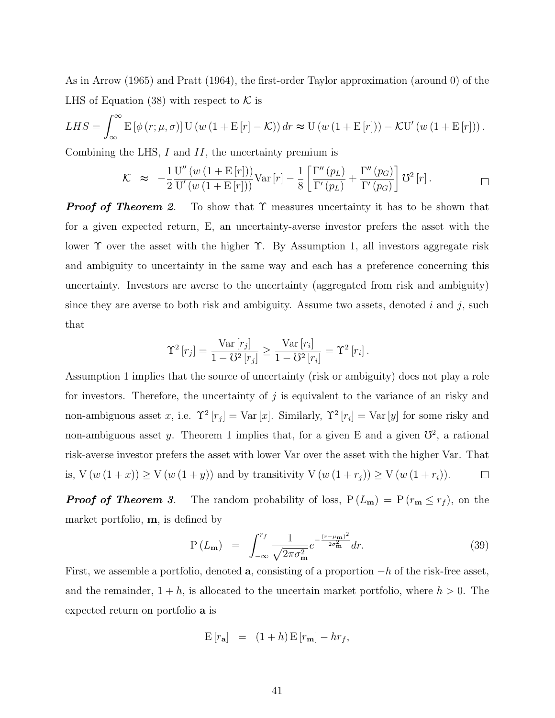As in Arrow (1965) and Pratt (1964), the first-order Taylor approximation (around 0) of the LHS of Equation  $(38)$  with respect to  $K$  is

$$
LHS = \int_{-\infty}^{\infty} \mathbf{E} \left[ \phi(r; \mu, \sigma) \right] \mathbf{U} \left( w \left( 1 + \mathbf{E} \left[ r \right] - \mathcal{K} \right) \right) dr \approx \mathbf{U} \left( w \left( 1 + \mathbf{E} \left[ r \right] \right) \right) - \mathcal{K} \mathbf{U}' \left( w \left( 1 + \mathbf{E} \left[ r \right] \right) \right).
$$

Combining the LHS, *I* and *II*, the uncertainty premium is

$$
\mathcal{K} \approx -\frac{1}{2} \frac{\mathrm{U}''(w(1 + \mathrm{E}[r]))}{\mathrm{U}'(w(1 + \mathrm{E}[r]))} \mathrm{Var}[r] - \frac{1}{8} \left[ \frac{\Gamma''(p_L)}{\Gamma'(p_L)} + \frac{\Gamma''(p_G)}{\Gamma'(p_G)} \right] \mathrm{O}^2[r]. \Box
$$

*Proof of Theorem 2.* To show that  $\Upsilon$  measures uncertainty it has to be shown that for a given expected return, E, an uncertainty-averse investor prefers the asset with the lower Υ over the asset with the higher Υ. By Assumption 1, all investors aggregate risk and ambiguity to uncertainty in the same way and each has a preference concerning this uncertainty. Investors are averse to the uncertainty (aggregated from risk and ambiguity) since they are averse to both risk and ambiguity. Assume two assets, denoted *i* and *j*, such that

$$
\Upsilon^{2}[r_{j}] = \frac{\text{Var}[r_{j}]}{1 - \mho^{2}[r_{j}]} \ge \frac{\text{Var}[r_{i}]}{1 - \mho^{2}[r_{i}]} = \Upsilon^{2}[r_{i}].
$$

Assumption 1 implies that the source of uncertainty (risk or ambiguity) does not play a role for investors. Therefore, the uncertainty of *j* is equivalent to the variance of an risky and non-ambiguous asset *x*, i.e.  $\Upsilon^2[r_j] = \text{Var}[x]$ . Similarly,  $\Upsilon^2[r_i] = \text{Var}[y]$  for some risky and non-ambiguous asset *y*. Theorem 1 implies that, for a given E and a given  $\mathbb{S}^2$ , a rational risk-averse investor prefers the asset with lower Var over the asset with the higher Var. That is,  $V(w(1 + x)) ≥ V(w(1 + y))$  and by transitivity  $V(w(1 + r_j)) ≥ V(w(1 + r_i)).$  $\Box$ 

*Proof of Theorem 3.* The random probability of loss,  $P(L_m) = P(r_m \leq r_f)$ , on the market portfolio, **m**, is defined by

$$
P(L_{\mathbf{m}}) = \int_{-\infty}^{r_f} \frac{1}{\sqrt{2\pi\sigma_{\mathbf{m}}^2}} e^{-\frac{(r-\mu_{\mathbf{m}})^2}{2\sigma_{\mathbf{m}}^2}} dr.
$$
 (39)

First, we assemble a portfolio, denoted **a**, consisting of a proportion *−h* of the risk-free asset, and the remainder,  $1 + h$ , is allocated to the uncertain market portfolio, where  $h > 0$ . The expected return on portfolio **a** is

$$
E[r_{a}] = (1+h) E[r_{m}] - hr_{f},
$$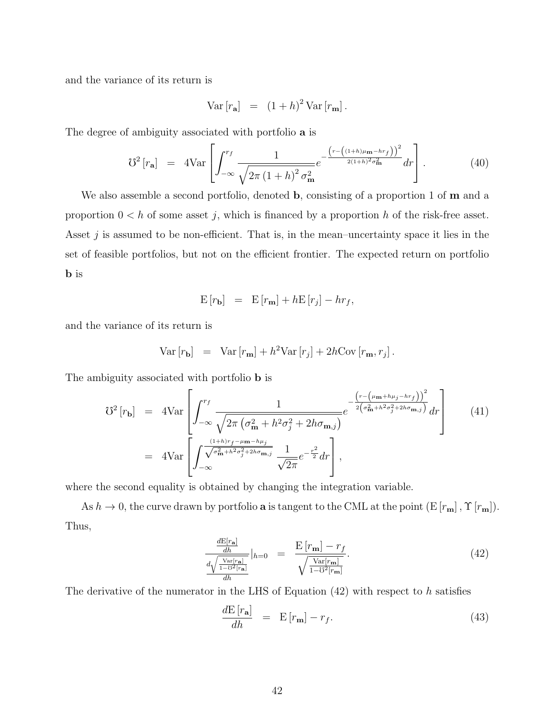and the variance of its return is

$$
Var[r_{\mathbf{a}}] = (1+h)^2 Var[r_{\mathbf{m}}].
$$

The degree of ambiguity associated with portfolio **a** is

$$
\mathcal{U}^2\left[r_{\mathbf{a}}\right] = 4\text{Var}\left[\int_{-\infty}^{r_f} \frac{1}{\sqrt{2\pi\left(1+h\right)^2 \sigma_{\mathbf{m}}^2}} e^{-\frac{\left(r - \left((1+h)\mu_{\mathbf{m}} - hr_f\right)\right)^2}{2(1+h)^2 \sigma_{\mathbf{m}}^2}} dr\right].
$$
 (40)

We also assemble a second portfolio, denoted **b**, consisting of a proportion 1 of **m** and a proportion  $0 < h$  of some asset *j*, which is financed by a proportion *h* of the risk-free asset. Asset *j* is assumed to be non-efficient. That is, in the mean–uncertainty space it lies in the set of feasible portfolios, but not on the efficient frontier. The expected return on portfolio **b** is

$$
E[r_{\mathbf{b}}] = E[r_{\mathbf{m}}] + hE[r_j] - hr_f,
$$

and the variance of its return is

$$
\text{Var}\left[r_{\mathbf{b}}\right] = \text{Var}\left[r_{\mathbf{m}}\right] + h^2 \text{Var}\left[r_j\right] + 2h \text{Cov}\left[r_{\mathbf{m}}, r_j\right].
$$

The ambiguity associated with portfolio **b** is

$$
\mathcal{U}^{2}[r_{\mathbf{b}}] = 4\text{Var}\left[\int_{-\infty}^{r_{f}} \frac{1}{\sqrt{2\pi(\sigma_{\mathbf{m}}^{2} + h^{2}\sigma_{j}^{2} + 2h\sigma_{\mathbf{m},j})}} e^{-\frac{\left(r - \left(\mu_{\mathbf{m}} + h\mu_{j} - h\tau_{f}\right)\right)^{2}}{2\left(\sigma_{\mathbf{m}}^{2} + h^{2}\sigma_{j}^{2} + 2h\sigma_{\mathbf{m},j}\right)}} dr\right] \qquad (41)
$$
  
= 4 $\text{Var}\left[\int_{-\infty}^{\frac{(1+h)r_{f} - \mu_{\mathbf{m}} - h\mu_{j}}{\sqrt{\sigma_{\mathbf{m}}^{2} + h^{2}\sigma_{j}^{2} + 2h\sigma_{\mathbf{m},j}}}} \frac{1}{\sqrt{2\pi}} e^{-\frac{r^{2}}{2}} dr\right],$ 

where the second equality is obtained by changing the integration variable.

As  $h \to 0$ , the curve drawn by portfolio **a** is tangent to the CML at the point  $(E[r_m], \Upsilon[r_m])$ . Thus,

$$
\frac{\frac{dE[r_{\mathbf{a}}]}{dh}}{\frac{d\sqrt{\frac{\text{Var}[r_{\mathbf{a}}]}{1-\mathcal{O}^2[r_{\mathbf{a}}]}}}\Big|_{h=0} = \frac{E[r_{\mathbf{m}}] - r_f}{\sqrt{\frac{\text{Var}[r_{\mathbf{m}}]}{1-\mathcal{O}^2[r_{\mathbf{m}}]}}}.
$$
\n(42)

The derivative of the numerator in the LHS of Equation (42) with respect to *h* satisfies

$$
\frac{d\mathbf{E}\left[r_{\mathbf{a}}\right]}{dh} = \mathbf{E}\left[r_{\mathbf{m}}\right] - r_{f}.\tag{43}
$$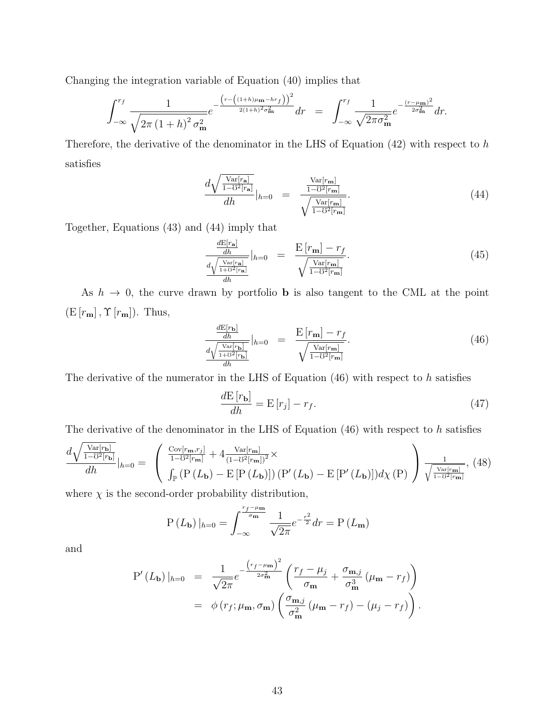Changing the integration variable of Equation (40) implies that

$$
\int_{-\infty}^{r_f} \frac{1}{\sqrt{2\pi (1+h)^2 \sigma_{\mathbf{m}}^2}} e^{-\frac{\left(r - \left((1+h)\mu_{\mathbf{m}} - hr_f\right)\right)^2}{2(1+h)^2 \sigma_{\mathbf{m}}^2}} dr = \int_{-\infty}^{r_f} \frac{1}{\sqrt{2\pi \sigma_{\mathbf{m}}^2}} e^{-\frac{(r - \mu_{\mathbf{m}})^2}{2\sigma_{\mathbf{m}}^2}} dr.
$$

Therefore, the derivative of the denominator in the LHS of Equation (42) with respect to *h* satisfies

$$
\frac{d\sqrt{\frac{\text{Var}[r_{\mathbf{a}}]}{1-\mathcal{O}^2[r_{\mathbf{a}}]}}}{dh}|_{h=0} = \frac{\frac{\text{Var}[r_{\mathbf{m}}]}{1-\mathcal{O}^2[r_{\mathbf{m}}]}}{\sqrt{\frac{\text{Var}[r_{\mathbf{m}}]}{1-\mathcal{O}^2[r_{\mathbf{m}}]}}}.\tag{44}
$$

Together, Equations (43) and (44) imply that

$$
\frac{\frac{dE[r_{\mathbf{a}}]}{dh}}{\frac{d\sqrt{\frac{\text{Var}[r_{\mathbf{a}}]}{1+U^2[r_{\mathbf{a}}]}}}\Big|_{h=0} = \frac{E[r_{\mathbf{m}}] - r_f}{\sqrt{\frac{\text{Var}[r_{\mathbf{m}}]}{1-U^2[r_{\mathbf{m}}]}}}.
$$
\n(45)

As  $h \to 0$ , the curve drawn by portfolio **b** is also tangent to the CML at the point  $(E[r_m], \Upsilon[r_m])$ . Thus,

$$
\frac{\frac{d\mathbf{E}[r_{\mathbf{b}}]}{dh}}{\frac{d\sqrt{\frac{\text{Var}[r_{\mathbf{b}}]}{1+\mathcal{O}^2[r_{\mathbf{b}}]}}}\Big|_{h=0} = \frac{\mathbf{E}[r_{\mathbf{m}}] - r_f}{\sqrt{\frac{\text{Var}[r_{\mathbf{m}}]}{1-\mathcal{O}^2[r_{\mathbf{m}}]}}}.\tag{46}
$$

The derivative of the numerator in the LHS of Equation (46) with respect to *h* satisfies

$$
\frac{d\mathbf{E}\left[r_{\mathbf{b}}\right]}{dh} = \mathbf{E}\left[r_j\right] - r_f. \tag{47}
$$

The derivative of the denominator in the LHS of Equation (46) with respect to *h* satisfies

$$
\frac{d\sqrt{\frac{\text{Var}[r_{\mathbf{b}}]}{1-\sigma^2[r_{\mathbf{b}}]}}}{dh}|_{h=0} = \begin{pmatrix} \frac{\text{Cov}[r_{\mathbf{m}},r_j]}{1-\sigma^2[r_{\mathbf{m}}]} + 4\frac{\text{Var}[r_{\mathbf{m}}]}{(1-\sigma^2[r_{\mathbf{m}}])^2} \times \\ \int_{\mathbb{P}} \left( \mathbf{P}\left( L_{\mathbf{b}} \right) - \mathbf{E}\left[ \mathbf{P}\left( L_{\mathbf{b}} \right) \right] \right) \left( \mathbf{P}'\left( L_{\mathbf{b}} \right) - \mathbf{E}\left[ \mathbf{P}'\left( L_{\mathbf{b}} \right) \right] \right) d\chi \left( \mathbf{P} \right) \end{pmatrix} \frac{1}{\sqrt{\frac{\text{Var}[r_{\mathbf{m}}]}{1-\sigma^2[r_{\mathbf{m}}]}}, (48)
$$

where  $\chi$  is the second-order probability distribution,

$$
P(L_{\mathbf{b}})|_{h=0} = \int_{-\infty}^{\frac{r_f - \mu_{\mathbf{m}}}{\sigma_{\mathbf{m}}}} \frac{1}{\sqrt{2\pi}} e^{-\frac{r^2}{2}} dr = P(L_{\mathbf{m}})
$$

and

$$
P'(L_{\mathbf{b}})|_{h=0} = \frac{1}{\sqrt{2\pi}} e^{-\frac{\left(r_f - \mu_{\mathbf{m}}\right)^2}{2\sigma_{\mathbf{m}}^2}} \left(\frac{r_f - \mu_j}{\sigma_{\mathbf{m}}} + \frac{\sigma_{\mathbf{m},j}}{\sigma_{\mathbf{m}}^3} \left(\mu_{\mathbf{m}} - r_f\right)\right)
$$
  
=  $\phi(r_f; \mu_{\mathbf{m}}, \sigma_{\mathbf{m}}) \left(\frac{\sigma_{\mathbf{m},j}}{\sigma_{\mathbf{m}}^2} \left(\mu_{\mathbf{m}} - r_f\right) - \left(\mu_j - r_f\right)\right).$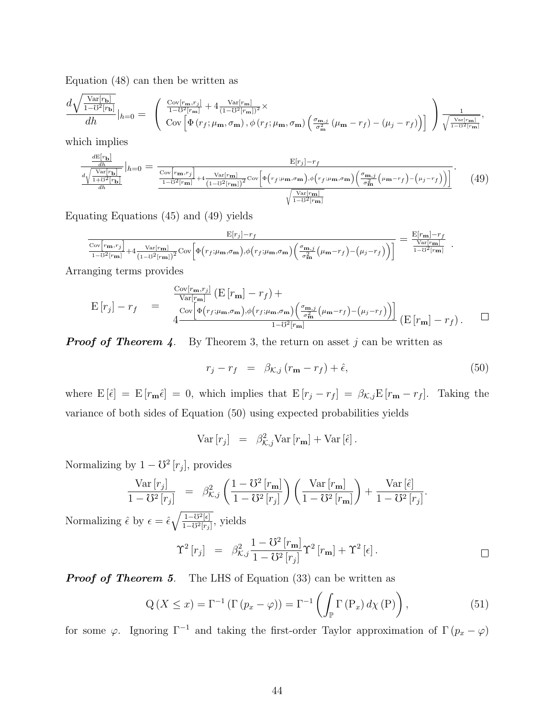Equation (48) can then be written as

$$
\frac{d\sqrt{\frac{\text{Var}[r_{\mathbf{b}}]}{1-\delta^2[r_{\mathbf{b}}]}}}{dh}|_{h=0} = \begin{pmatrix} \frac{\text{Cov}[r_{\mathbf{m}},r_j]}{1-\delta^2[r_{\mathbf{m}}]} + 4\frac{\text{Var}[r_{\mathbf{m}}]}{(1-\delta^2[r_{\mathbf{m}}])^2} \times \\ \text{Cov}\left[\Phi(r_f;\mu_{\mathbf{m}},\sigma_{\mathbf{m}}),\phi(r_f;\mu_{\mathbf{m}},\sigma_{\mathbf{m}})\left(\frac{\sigma_{\mathbf{m},j}}{\sigma_{\mathbf{m}}^2}(\mu_{\mathbf{m}} - r_f) - (\mu_j - r_f)\right) \right] \end{pmatrix} \frac{1}{\sqrt{\frac{\text{Var}[r_{\mathbf{m}}]}{1-\delta^2[r_{\mathbf{m}}]}}},
$$

which implies

$$
\frac{\frac{dE[r_{\mathbf{b}}]}{dh}}{\frac{d\sqrt{\frac{\text{Var}[r_{\mathbf{b}}]}{dh}}}{dh}}\Big|_{h=0} = \frac{\frac{\text{E}[r_j] - r_f}{\text{Cov}[r_{\mathbf{m}}, r_j]}}{\frac{1 - \sigma^2 [r_{\mathbf{m}}]}{h} + 4\frac{\text{Var}[r_{\mathbf{m}}]}{(1 - \sigma^2 [r_{\mathbf{m}}])^2}\text{Cov}\Big[\Phi\big(r_f; \mu_{\mathbf{m}}, \sigma_{\mathbf{m}}\big), \phi\big(r_f; \mu_{\mathbf{m}}, \sigma_{\mathbf{m}}\big)\bigg(\frac{\sigma_{\mathbf{m},j}}{\sigma_{\mathbf{m}}^2}\big(\mu_{\mathbf{m}} - r_f\big) - \big(\mu_j - r_f\big)\big)\Big]}{\sqrt{\frac{\text{Var}[r_{\mathbf{m}}]}{1 - \sigma^2 [r_{\mathbf{m}}]}}}\,. \tag{49}
$$

Equating Equations (45) and (49) yields

$$
\frac{\mathrm{E}[r_j]-r_f}{\frac{\mathrm{Cov}[r_{\mathbf{m}},r_j]}{1-\delta^2[r_{\mathbf{m}}]}+4\frac{\mathrm{Var}[r_{\mathbf{m}}]}{(1-\delta^2[r_{\mathbf{m}}])^2}\mathrm{Cov}\bigg[\Phi\big(r_f;\mu_{\mathbf{m}},\sigma_{\mathbf{m}}\big),\phi\big(r_f;\mu_{\mathbf{m}},\sigma_{\mathbf{m}}\big)\bigg(\frac{\sigma_{\mathbf{m},j}}{\sigma_{\mathbf{m}}^2}\big(\mu_{\mathbf{m}}-r_f\big)-\big(\mu_j-r_f\big)\bigg)\bigg]}=\frac{\mathrm{E}[r_{\mathbf{m}}]-r_f}{\frac{\mathrm{Var}[r_{\mathbf{m}}]}{1-\delta^2[r_{\mathbf{m}}]}}\label{eq:expan}
$$

Arranging terms provides

$$
\mathcal{E}\left[r_j\right] - r_f = \frac{\frac{\text{Cov}[r_{\mathbf{m}}, r_j]}{\text{Var}[r_{\mathbf{m}}]} \left(\mathcal{E}\left[r_{\mathbf{m}}\right] - r_f\right) + \frac{\text{Cov}\left[\Phi(r_f; \mu_{\mathbf{m}}, \sigma_{\mathbf{m}}), \phi(r_f; \mu_{\mathbf{m}}, \sigma_{\mathbf{m}}\right) \left(\frac{\sigma_{\mathbf{m},j}}{\sigma_{\mathbf{m}}^2} (\mu_{\mathbf{m}} - r_f) - (\mu_j - r_f)\right)}{1 - \sigma^2 [r_{\mathbf{m}}]} \left(\mathcal{E}\left[r_{\mathbf{m}}\right] - r_f\right). \quad \Box
$$

*Proof of Theorem 4.* By Theorem 3, the return on asset *j* can be written as

$$
r_j - r_f = \beta_{\mathcal{K},j} (r_{\mathbf{m}} - r_f) + \hat{\epsilon}, \tag{50}
$$

*.*

*.*

where  $E[\hat{\epsilon}] = E[r_m\hat{\epsilon}] = 0$ , which implies that  $E[r_j - r_f] = \beta_{\mathcal{K},j}E[r_m - r_f]$ . Taking the variance of both sides of Equation (50) using expected probabilities yields

$$
\text{Var}\left[r_j\right] = \beta_{\mathcal{K},j}^2 \text{Var}\left[r_{\mathbf{m}}\right] + \text{Var}\left[\hat{\epsilon}\right].
$$

Normalizing by  $1 - \mathcal{O}^2[r_j]$ , provides

$$
\frac{\text{Var}\left[r_j\right]}{1-\text{U}^2\left[r_j\right]} = \beta_{\mathcal{K},j}^2 \left(\frac{1-\text{U}^2\left[r_{\mathbf{m}}\right]}{1-\text{U}^2\left[r_j\right]}\right) \left(\frac{\text{Var}\left[r_{\mathbf{m}}\right]}{1-\text{U}^2\left[r_{\mathbf{m}}\right]}\right) + \frac{\text{Var}\left[\hat{\epsilon}\right]}{1-\text{U}^2\left[r_j\right]}
$$

Normalizing  $\hat{\epsilon}$  by  $\epsilon = \hat{\epsilon} \sqrt{\frac{1 - \mathcal{V}^2[\epsilon]}{1 - \mathcal{V}^2[\epsilon]}}$  $\frac{1-O^2[\epsilon]}{1-O^2[r_j]},$  yields

$$
\Upsilon^2 \left[ r_j \right] = \beta_{\mathcal{K},j}^2 \frac{1 - \mathcal{O}^2 \left[ r_{\mathbf{m}} \right]}{1 - \mathcal{O}^2 \left[ r_j \right]} \Upsilon^2 \left[ r_{\mathbf{m}} \right] + \Upsilon^2 \left[ \epsilon \right]. \square
$$

*Proof of Theorem 5.* The LHS of Equation (33) can be written as

$$
Q(X \le x) = \Gamma^{-1} (\Gamma (p_x - \varphi)) = \Gamma^{-1} \left( \int_{\mathbb{P}} \Gamma (P_x) d\chi(P) \right), \tag{51}
$$

for some *φ*. Ignoring  $\Gamma^{-1}$  and taking the first-order Taylor approximation of  $\Gamma(p_x - \varphi)$